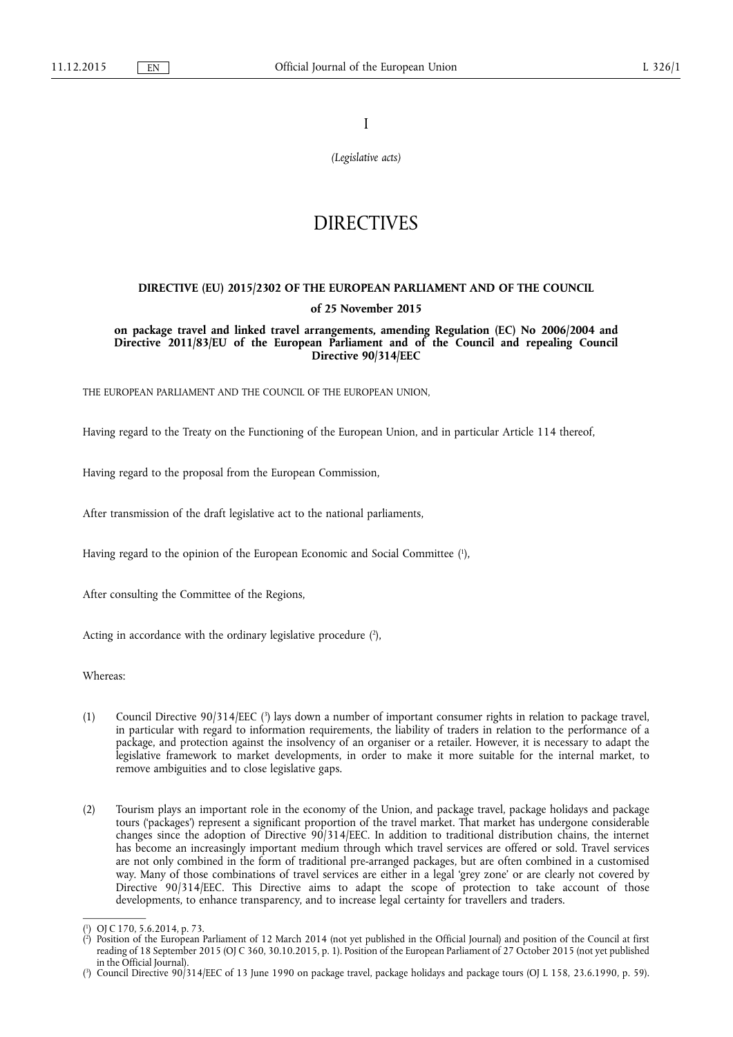I

*(Legislative acts)* 

# DIRECTIVES

## **DIRECTIVE (EU) 2015/2302 OF THE EUROPEAN PARLIAMENT AND OF THE COUNCIL of 25 November 2015**

**on package travel and linked travel arrangements, amending Regulation (EC) No 2006/2004 and Directive 2011/83/EU of the European Parliament and of the Council and repealing Council Directive 90/314/EEC** 

THE EUROPEAN PARLIAMENT AND THE COUNCIL OF THE EUROPEAN UNION,

Having regard to the Treaty on the Functioning of the European Union, and in particular Article 114 thereof,

Having regard to the proposal from the European Commission,

After transmission of the draft legislative act to the national parliaments,

Having regard to the opinion of the European Economic and Social Committee (1 ),

After consulting the Committee of the Regions,

Acting in accordance with the ordinary legislative procedure (?),

Whereas:

- (1) Council Directive 90/314/EEC (3) lays down a number of important consumer rights in relation to package travel, in particular with regard to information requirements, the liability of traders in relation to the performance of a package, and protection against the insolvency of an organiser or a retailer. However, it is necessary to adapt the legislative framework to market developments, in order to make it more suitable for the internal market, to remove ambiguities and to close legislative gaps.
- (2) Tourism plays an important role in the economy of the Union, and package travel, package holidays and package tours ('packages') represent a significant proportion of the travel market. That market has undergone considerable changes since the adoption of Directive 90/314/EEC. In addition to traditional distribution chains, the internet has become an increasingly important medium through which travel services are offered or sold. Travel services are not only combined in the form of traditional pre-arranged packages, but are often combined in a customised way. Many of those combinations of travel services are either in a legal 'grey zone' or are clearly not covered by Directive 90/314/EEC. This Directive aims to adapt the scope of protection to take account of those developments, to enhance transparency, and to increase legal certainty for travellers and traders.

<sup>(</sup> 1 ) OJ C 170, 5.6.2014, p. 73.

<sup>(</sup> 2 ) Position of the European Parliament of 12 March 2014 (not yet published in the Official Journal) and position of the Council at first reading of 18 September 2015 (OJ C 360, 30.10.2015, p. 1). Position of the European Parliament of 27 October 2015 (not yet published in the Official Journal).

<sup>(</sup> 3 ) Council Directive 90/314/EEC of 13 June 1990 on package travel, package holidays and package tours (OJ L 158, 23.6.1990, p. 59).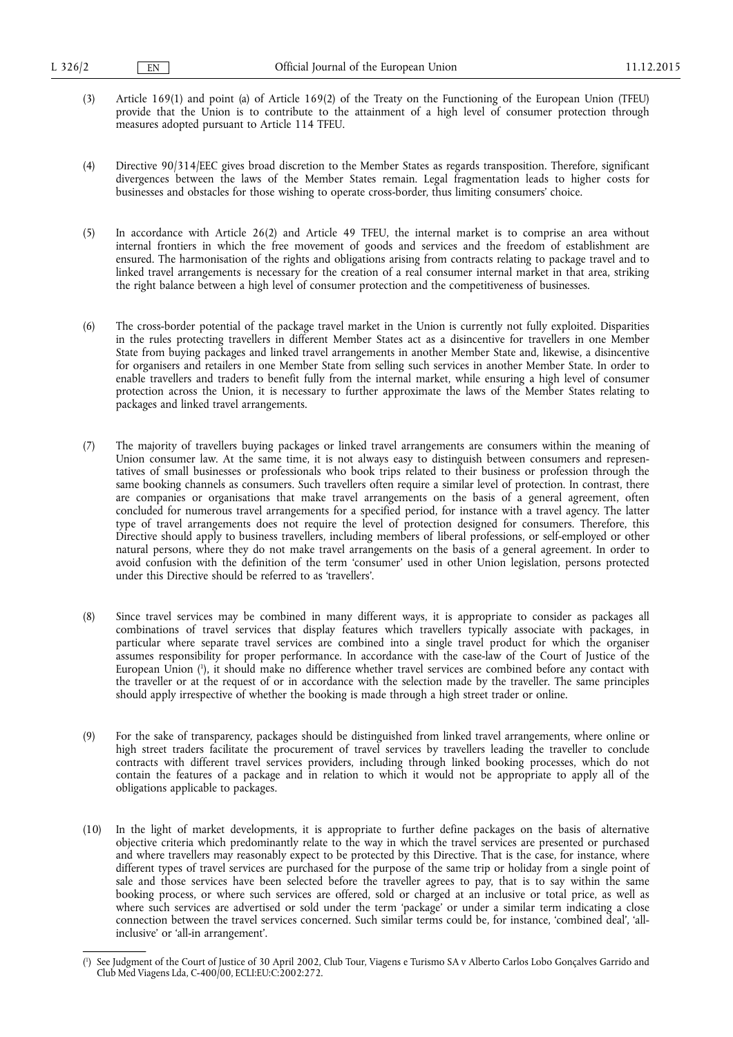- (3) Article 169(1) and point (a) of Article 169(2) of the Treaty on the Functioning of the European Union (TFEU) provide that the Union is to contribute to the attainment of a high level of consumer protection through measures adopted pursuant to Article 114 TFEU.
- (4) Directive 90/314/EEC gives broad discretion to the Member States as regards transposition. Therefore, significant divergences between the laws of the Member States remain. Legal fragmentation leads to higher costs for businesses and obstacles for those wishing to operate cross-border, thus limiting consumers' choice.
- (5) In accordance with Article 26(2) and Article 49 TFEU, the internal market is to comprise an area without internal frontiers in which the free movement of goods and services and the freedom of establishment are ensured. The harmonisation of the rights and obligations arising from contracts relating to package travel and to linked travel arrangements is necessary for the creation of a real consumer internal market in that area, striking the right balance between a high level of consumer protection and the competitiveness of businesses.
- (6) The cross-border potential of the package travel market in the Union is currently not fully exploited. Disparities in the rules protecting travellers in different Member States act as a disincentive for travellers in one Member State from buying packages and linked travel arrangements in another Member State and, likewise, a disincentive for organisers and retailers in one Member State from selling such services in another Member State. In order to enable travellers and traders to benefit fully from the internal market, while ensuring a high level of consumer protection across the Union, it is necessary to further approximate the laws of the Member States relating to packages and linked travel arrangements.
- (7) The majority of travellers buying packages or linked travel arrangements are consumers within the meaning of Union consumer law. At the same time, it is not always easy to distinguish between consumers and representatives of small businesses or professionals who book trips related to their business or profession through the same booking channels as consumers. Such travellers often require a similar level of protection. In contrast, there are companies or organisations that make travel arrangements on the basis of a general agreement, often concluded for numerous travel arrangements for a specified period, for instance with a travel agency. The latter type of travel arrangements does not require the level of protection designed for consumers. Therefore, this Directive should apply to business travellers, including members of liberal professions, or self-employed or other natural persons, where they do not make travel arrangements on the basis of a general agreement. In order to avoid confusion with the definition of the term 'consumer' used in other Union legislation, persons protected under this Directive should be referred to as 'travellers'.
- (8) Since travel services may be combined in many different ways, it is appropriate to consider as packages all combinations of travel services that display features which travellers typically associate with packages, in particular where separate travel services are combined into a single travel product for which the organiser assumes responsibility for proper performance. In accordance with the case-law of the Court of Justice of the European Union (1 ), it should make no difference whether travel services are combined before any contact with the traveller or at the request of or in accordance with the selection made by the traveller. The same principles should apply irrespective of whether the booking is made through a high street trader or online.
- (9) For the sake of transparency, packages should be distinguished from linked travel arrangements, where online or high street traders facilitate the procurement of travel services by travellers leading the traveller to conclude contracts with different travel services providers, including through linked booking processes, which do not contain the features of a package and in relation to which it would not be appropriate to apply all of the obligations applicable to packages.
- (10) In the light of market developments, it is appropriate to further define packages on the basis of alternative objective criteria which predominantly relate to the way in which the travel services are presented or purchased and where travellers may reasonably expect to be protected by this Directive. That is the case, for instance, where different types of travel services are purchased for the purpose of the same trip or holiday from a single point of sale and those services have been selected before the traveller agrees to pay, that is to say within the same booking process, or where such services are offered, sold or charged at an inclusive or total price, as well as where such services are advertised or sold under the term 'package' or under a similar term indicating a close connection between the travel services concerned. Such similar terms could be, for instance, 'combined deal', 'allinclusive' or 'all-in arrangement'.

<sup>(</sup> 1 ) See Judgment of the Court of Justice of 30 April 2002, Club Tour, Viagens e Turismo SA v Alberto Carlos Lobo Gonçalves Garrido and Club Med Viagens Lda, C-400/00, ECLI:EU:C:2002:272.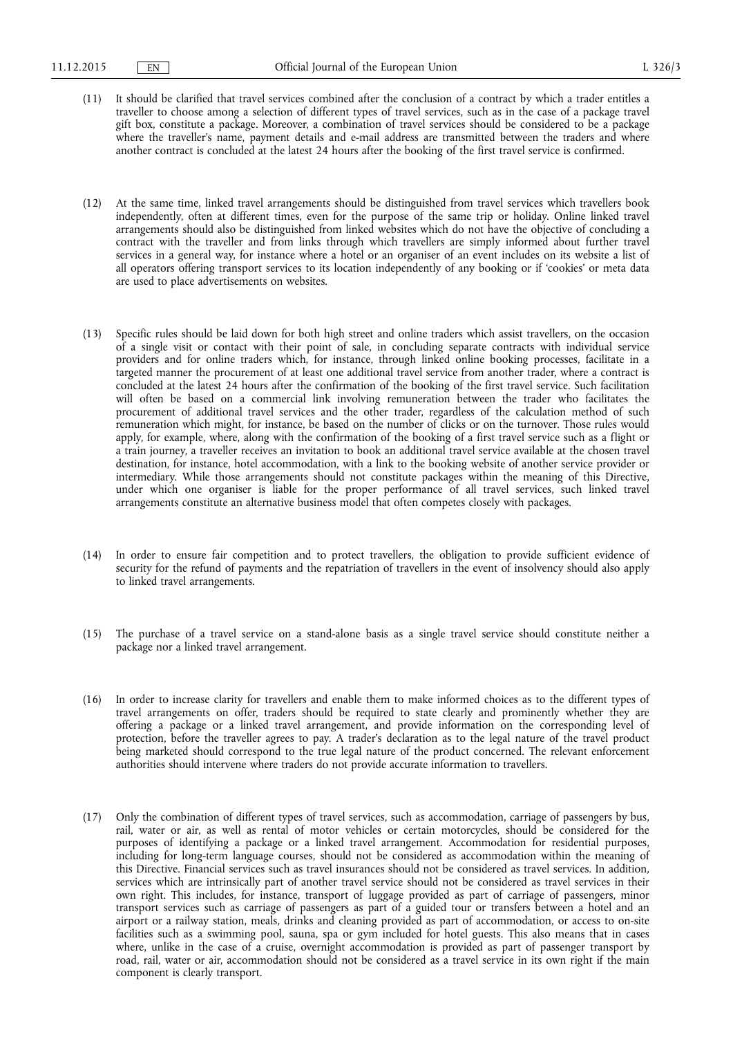- (11) It should be clarified that travel services combined after the conclusion of a contract by which a trader entitles a traveller to choose among a selection of different types of travel services, such as in the case of a package travel gift box, constitute a package. Moreover, a combination of travel services should be considered to be a package where the traveller's name, payment details and e-mail address are transmitted between the traders and where another contract is concluded at the latest 24 hours after the booking of the first travel service is confirmed.
- (12) At the same time, linked travel arrangements should be distinguished from travel services which travellers book independently, often at different times, even for the purpose of the same trip or holiday. Online linked travel arrangements should also be distinguished from linked websites which do not have the objective of concluding a contract with the traveller and from links through which travellers are simply informed about further travel services in a general way, for instance where a hotel or an organiser of an event includes on its website a list of all operators offering transport services to its location independently of any booking or if 'cookies' or meta data are used to place advertisements on websites.
- (13) Specific rules should be laid down for both high street and online traders which assist travellers, on the occasion of a single visit or contact with their point of sale, in concluding separate contracts with individual service providers and for online traders which, for instance, through linked online booking processes, facilitate in a targeted manner the procurement of at least one additional travel service from another trader, where a contract is concluded at the latest 24 hours after the confirmation of the booking of the first travel service. Such facilitation will often be based on a commercial link involving remuneration between the trader who facilitates the procurement of additional travel services and the other trader, regardless of the calculation method of such remuneration which might, for instance, be based on the number of clicks or on the turnover. Those rules would apply, for example, where, along with the confirmation of the booking of a first travel service such as a flight or a train journey, a traveller receives an invitation to book an additional travel service available at the chosen travel destination, for instance, hotel accommodation, with a link to the booking website of another service provider or intermediary. While those arrangements should not constitute packages within the meaning of this Directive, under which one organiser is liable for the proper performance of all travel services, such linked travel arrangements constitute an alternative business model that often competes closely with packages.
- (14) In order to ensure fair competition and to protect travellers, the obligation to provide sufficient evidence of security for the refund of payments and the repatriation of travellers in the event of insolvency should also apply to linked travel arrangements.
- (15) The purchase of a travel service on a stand-alone basis as a single travel service should constitute neither a package nor a linked travel arrangement.
- (16) In order to increase clarity for travellers and enable them to make informed choices as to the different types of travel arrangements on offer, traders should be required to state clearly and prominently whether they are offering a package or a linked travel arrangement, and provide information on the corresponding level of protection, before the traveller agrees to pay. A trader's declaration as to the legal nature of the travel product being marketed should correspond to the true legal nature of the product concerned. The relevant enforcement authorities should intervene where traders do not provide accurate information to travellers.
- (17) Only the combination of different types of travel services, such as accommodation, carriage of passengers by bus, rail, water or air, as well as rental of motor vehicles or certain motorcycles, should be considered for the purposes of identifying a package or a linked travel arrangement. Accommodation for residential purposes, including for long-term language courses, should not be considered as accommodation within the meaning of this Directive. Financial services such as travel insurances should not be considered as travel services. In addition, services which are intrinsically part of another travel service should not be considered as travel services in their own right. This includes, for instance, transport of luggage provided as part of carriage of passengers, minor transport services such as carriage of passengers as part of a guided tour or transfers between a hotel and an airport or a railway station, meals, drinks and cleaning provided as part of accommodation, or access to on-site facilities such as a swimming pool, sauna, spa or gym included for hotel guests. This also means that in cases where, unlike in the case of a cruise, overnight accommodation is provided as part of passenger transport by road, rail, water or air, accommodation should not be considered as a travel service in its own right if the main component is clearly transport.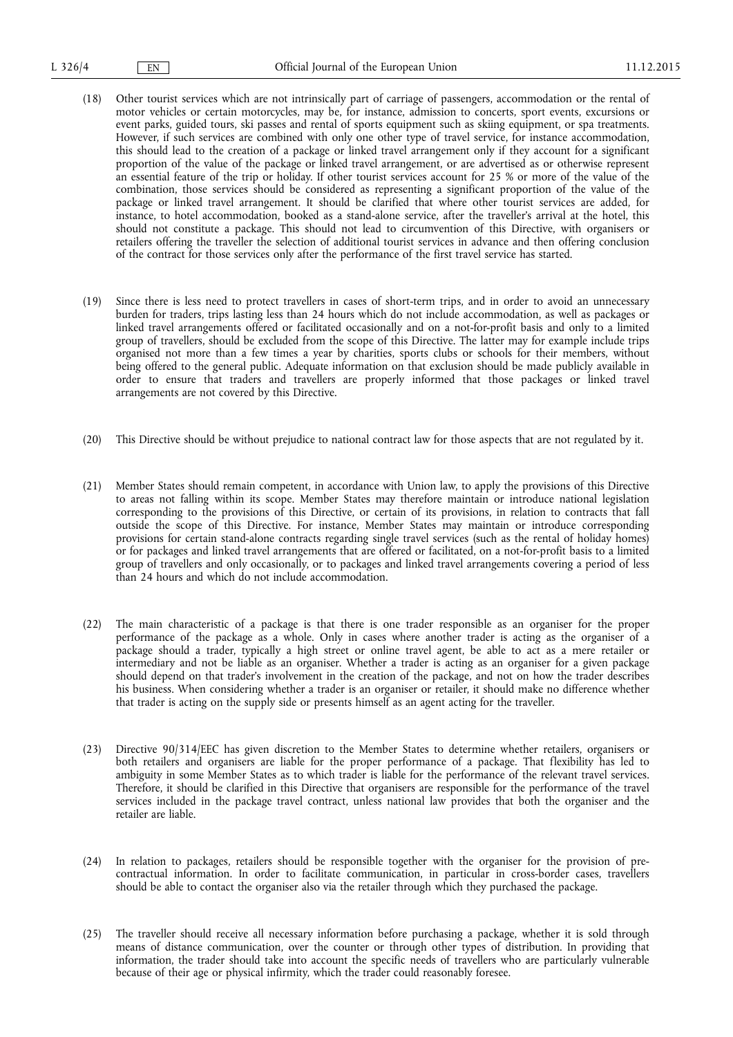- (18) Other tourist services which are not intrinsically part of carriage of passengers, accommodation or the rental of motor vehicles or certain motorcycles, may be, for instance, admission to concerts, sport events, excursions or event parks, guided tours, ski passes and rental of sports equipment such as skiing equipment, or spa treatments. However, if such services are combined with only one other type of travel service, for instance accommodation, this should lead to the creation of a package or linked travel arrangement only if they account for a significant proportion of the value of the package or linked travel arrangement, or are advertised as or otherwise represent an essential feature of the trip or holiday. If other tourist services account for 25 % or more of the value of the combination, those services should be considered as representing a significant proportion of the value of the package or linked travel arrangement. It should be clarified that where other tourist services are added, for instance, to hotel accommodation, booked as a stand-alone service, after the traveller's arrival at the hotel, this should not constitute a package. This should not lead to circumvention of this Directive, with organisers or retailers offering the traveller the selection of additional tourist services in advance and then offering conclusion of the contract for those services only after the performance of the first travel service has started.
- (19) Since there is less need to protect travellers in cases of short-term trips, and in order to avoid an unnecessary burden for traders, trips lasting less than 24 hours which do not include accommodation, as well as packages or linked travel arrangements offered or facilitated occasionally and on a not-for-profit basis and only to a limited group of travellers, should be excluded from the scope of this Directive. The latter may for example include trips organised not more than a few times a year by charities, sports clubs or schools for their members, without being offered to the general public. Adequate information on that exclusion should be made publicly available in order to ensure that traders and travellers are properly informed that those packages or linked travel arrangements are not covered by this Directive.
- (20) This Directive should be without prejudice to national contract law for those aspects that are not regulated by it.
- (21) Member States should remain competent, in accordance with Union law, to apply the provisions of this Directive to areas not falling within its scope. Member States may therefore maintain or introduce national legislation corresponding to the provisions of this Directive, or certain of its provisions, in relation to contracts that fall outside the scope of this Directive. For instance, Member States may maintain or introduce corresponding provisions for certain stand-alone contracts regarding single travel services (such as the rental of holiday homes) or for packages and linked travel arrangements that are offered or facilitated, on a not-for-profit basis to a limited group of travellers and only occasionally, or to packages and linked travel arrangements covering a period of less than 24 hours and which do not include accommodation.
- (22) The main characteristic of a package is that there is one trader responsible as an organiser for the proper performance of the package as a whole. Only in cases where another trader is acting as the organiser of a package should a trader, typically a high street or online travel agent, be able to act as a mere retailer or intermediary and not be liable as an organiser. Whether a trader is acting as an organiser for a given package should depend on that trader's involvement in the creation of the package, and not on how the trader describes his business. When considering whether a trader is an organiser or retailer, it should make no difference whether that trader is acting on the supply side or presents himself as an agent acting for the traveller.
- (23) Directive 90/314/EEC has given discretion to the Member States to determine whether retailers, organisers or both retailers and organisers are liable for the proper performance of a package. That flexibility has led to ambiguity in some Member States as to which trader is liable for the performance of the relevant travel services. Therefore, it should be clarified in this Directive that organisers are responsible for the performance of the travel services included in the package travel contract, unless national law provides that both the organiser and the retailer are liable.
- (24) In relation to packages, retailers should be responsible together with the organiser for the provision of precontractual information. In order to facilitate communication, in particular in cross-border cases, travellers should be able to contact the organiser also via the retailer through which they purchased the package.
- (25) The traveller should receive all necessary information before purchasing a package, whether it is sold through means of distance communication, over the counter or through other types of distribution. In providing that information, the trader should take into account the specific needs of travellers who are particularly vulnerable because of their age or physical infirmity, which the trader could reasonably foresee.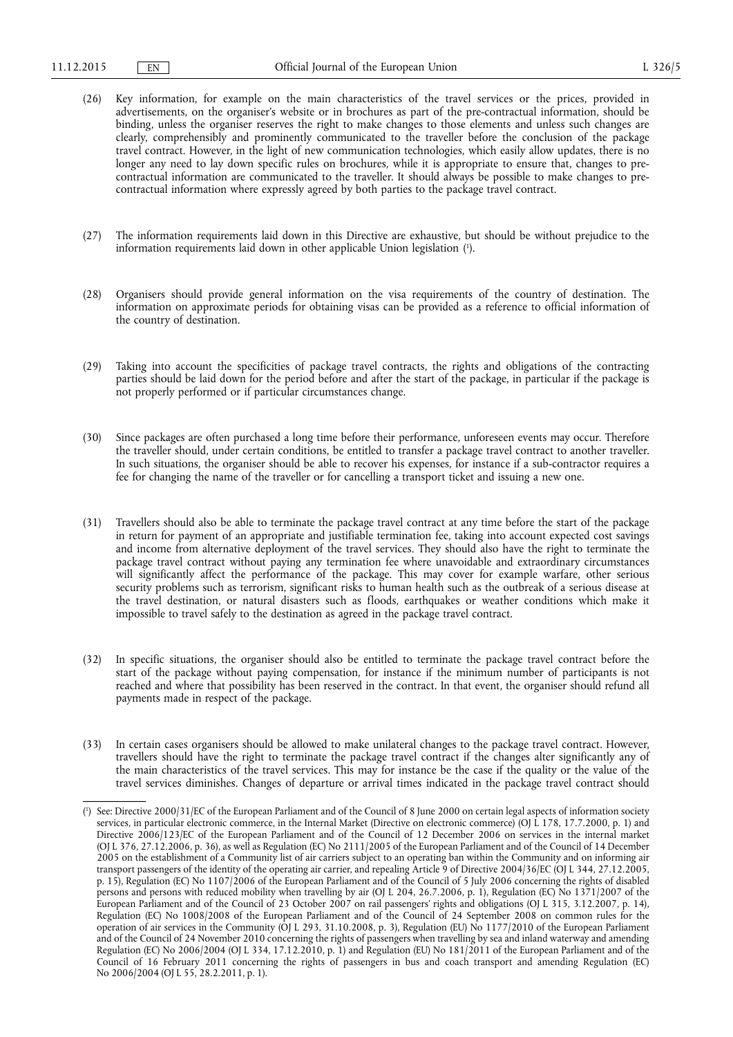- (26) Key information, for example on the main characteristics of the travel services or the prices, provided in advertisements, on the organiser's website or in brochures as part of the pre-contractual information, should be binding, unless the organiser reserves the right to make changes to those elements and unless such changes are clearly, comprehensibly and prominently communicated to the traveller before the conclusion of the package travel contract. However, in the light of new communication technologies, which easily allow updates, there is no longer any need to lay down specific rules on brochures, while it is appropriate to ensure that, changes to precontractual information are communicated to the traveller. It should always be possible to make changes to precontractual information where expressly agreed by both parties to the package travel contract.
- (27) The information requirements laid down in this Directive are exhaustive, but should be without prejudice to the information requirements laid down in other applicable Union legislation (1 ).
- (28) Organisers should provide general information on the visa requirements of the country of destination. The information on approximate periods for obtaining visas can be provided as a reference to official information of the country of destination.
- (29) Taking into account the specificities of package travel contracts, the rights and obligations of the contracting parties should be laid down for the period before and after the start of the package, in particular if the package is not properly performed or if particular circumstances change.
- (30) Since packages are often purchased a long time before their performance, unforeseen events may occur. Therefore the traveller should, under certain conditions, be entitled to transfer a package travel contract to another traveller. In such situations, the organiser should be able to recover his expenses, for instance if a sub-contractor requires a fee for changing the name of the traveller or for cancelling a transport ticket and issuing a new one.
- (31) Travellers should also be able to terminate the package travel contract at any time before the start of the package in return for payment of an appropriate and justifiable termination fee, taking into account expected cost savings and income from alternative deployment of the travel services. They should also have the right to terminate the package travel contract without paying any termination fee where unavoidable and extraordinary circumstances will significantly affect the performance of the package. This may cover for example warfare, other serious security problems such as terrorism, significant risks to human health such as the outbreak of a serious disease at the travel destination, or natural disasters such as floods, earthquakes or weather conditions which make it impossible to travel safely to the destination as agreed in the package travel contract.
- (32) In specific situations, the organiser should also be entitled to terminate the package travel contract before the start of the package without paying compensation, for instance if the minimum number of participants is not reached and where that possibility has been reserved in the contract. In that event, the organiser should refund all payments made in respect of the package.
- (33) In certain cases organisers should be allowed to make unilateral changes to the package travel contract. However, travellers should have the right to terminate the package travel contract if the changes alter significantly any of the main characteristics of the travel services. This may for instance be the case if the quality or the value of the travel services diminishes. Changes of departure or arrival times indicated in the package travel contract should

<sup>(</sup> 1 ) See: Directive 2000/31/EC of the European Parliament and of the Council of 8 June 2000 on certain legal aspects of information society services, in particular electronic commerce, in the Internal Market (Directive on electronic commerce) (OJ L 178, 17.7.2000, p. 1) and Directive 2006/123/EC of the European Parliament and of the Council of 12 December 2006 on services in the internal market (OJ L 376, 27.12.2006, p. 36), as well as Regulation (EC) No 2111/2005 of the European Parliament and of the Council of 14 December 2005 on the establishment of a Community list of air carriers subject to an operating ban within the Community and on informing air transport passengers of the identity of the operating air carrier, and repealing Article 9 of Directive 2004/36/EC (OJ L 344, 27.12.2005, p. 15), Regulation (EC) No 1107/2006 of the European Parliament and of the Council of 5 July 2006 concerning the rights of disabled persons and persons with reduced mobility when travelling by air (OJ L 204, 26.7.2006, p. 1), Regulation (EC) No 1371/2007 of the European Parliament and of the Council of 23 October 2007 on rail passengers' rights and obligations (OJ L 315, 3.12.2007, p. 14), Regulation (EC) No 1008/2008 of the European Parliament and of the Council of 24 September 2008 on common rules for the operation of air services in the Community (OJ L 293, 31.10.2008, p. 3), Regulation (EU) No 1177/2010 of the European Parliament and of the Council of 24 November 2010 concerning the rights of passengers when travelling by sea and inland waterway and amending Regulation (EC) No 2006/2004 (OJ L 334, 17.12.2010, p. 1) and Regulation (EU) No 181/2011 of the European Parliament and of the Council of 16 February 2011 concerning the rights of passengers in bus and coach transport and amending Regulation (EC) No 2006/2004 (OJ L 55, 28.2.2011, p. 1).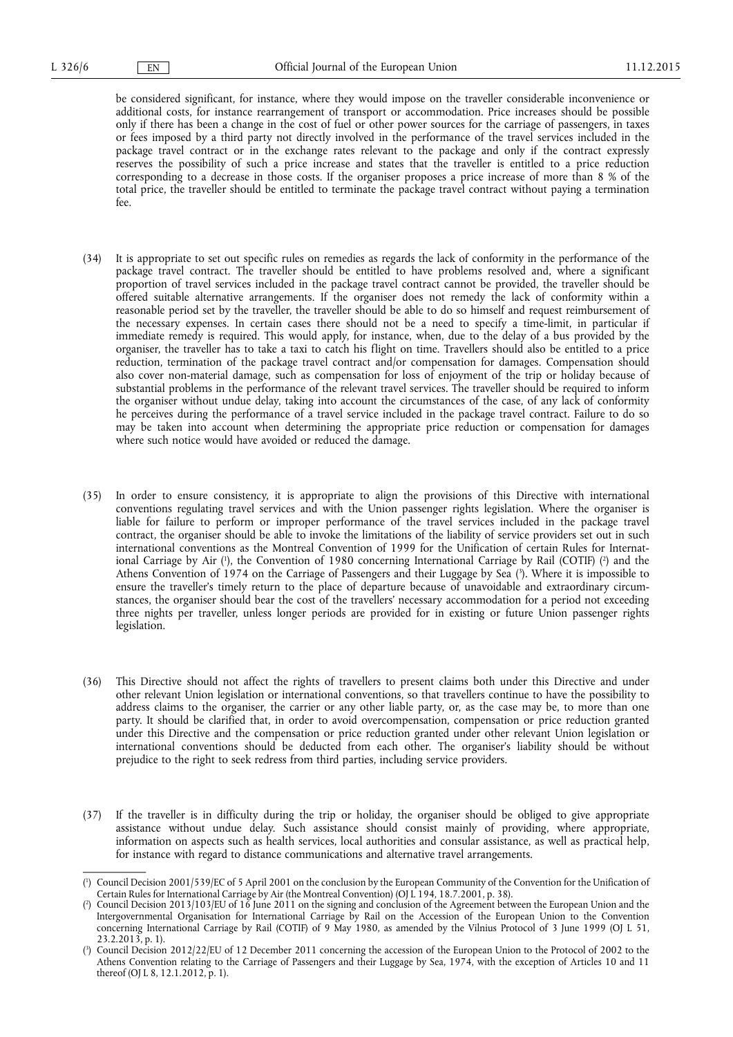be considered significant, for instance, where they would impose on the traveller considerable inconvenience or additional costs, for instance rearrangement of transport or accommodation. Price increases should be possible only if there has been a change in the cost of fuel or other power sources for the carriage of passengers, in taxes or fees imposed by a third party not directly involved in the performance of the travel services included in the package travel contract or in the exchange rates relevant to the package and only if the contract expressly reserves the possibility of such a price increase and states that the traveller is entitled to a price reduction corresponding to a decrease in those costs. If the organiser proposes a price increase of more than 8 % of the total price, the traveller should be entitled to terminate the package travel contract without paying a termination fee.

- (34) It is appropriate to set out specific rules on remedies as regards the lack of conformity in the performance of the package travel contract. The traveller should be entitled to have problems resolved and, where a significant proportion of travel services included in the package travel contract cannot be provided, the traveller should be offered suitable alternative arrangements. If the organiser does not remedy the lack of conformity within a reasonable period set by the traveller, the traveller should be able to do so himself and request reimbursement of the necessary expenses. In certain cases there should not be a need to specify a time-limit, in particular if immediate remedy is required. This would apply, for instance, when, due to the delay of a bus provided by the organiser, the traveller has to take a taxi to catch his flight on time. Travellers should also be entitled to a price reduction, termination of the package travel contract and/or compensation for damages. Compensation should also cover non-material damage, such as compensation for loss of enjoyment of the trip or holiday because of substantial problems in the performance of the relevant travel services. The traveller should be required to inform the organiser without undue delay, taking into account the circumstances of the case, of any lack of conformity he perceives during the performance of a travel service included in the package travel contract. Failure to do so may be taken into account when determining the appropriate price reduction or compensation for damages where such notice would have avoided or reduced the damage.
- (35) In order to ensure consistency, it is appropriate to align the provisions of this Directive with international conventions regulating travel services and with the Union passenger rights legislation. Where the organiser is liable for failure to perform or improper performance of the travel services included in the package travel contract, the organiser should be able to invoke the limitations of the liability of service providers set out in such international conventions as the Montreal Convention of 1999 for the Unification of certain Rules for International Carriage by Air (<sup>1</sup>), the Convention of 1980 concerning International Carriage by Rail (COTIF) (<sup>2</sup>) and the Athens Convention of 1974 on the Carriage of Passengers and their Luggage by Sea (3). Where it is impossible to ensure the traveller's timely return to the place of departure because of unavoidable and extraordinary circumstances, the organiser should bear the cost of the travellers' necessary accommodation for a period not exceeding three nights per traveller, unless longer periods are provided for in existing or future Union passenger rights legislation.
- (36) This Directive should not affect the rights of travellers to present claims both under this Directive and under other relevant Union legislation or international conventions, so that travellers continue to have the possibility to address claims to the organiser, the carrier or any other liable party, or, as the case may be, to more than one party. It should be clarified that, in order to avoid overcompensation, compensation or price reduction granted under this Directive and the compensation or price reduction granted under other relevant Union legislation or international conventions should be deducted from each other. The organiser's liability should be without prejudice to the right to seek redress from third parties, including service providers.
- (37) If the traveller is in difficulty during the trip or holiday, the organiser should be obliged to give appropriate assistance without undue delay. Such assistance should consist mainly of providing, where appropriate, information on aspects such as health services, local authorities and consular assistance, as well as practical help, for instance with regard to distance communications and alternative travel arrangements.

<sup>(</sup> 1 ) Council Decision 2001/539/EC of 5 April 2001 on the conclusion by the European Community of the Convention for the Unification of Certain Rules for International Carriage by Air (the Montreal Convention) (OJ L 194, 18.7.2001, p. 38).

<sup>(</sup> 2 ) Council Decision 2013/103/EU of 16 June 2011 on the signing and conclusion of the Agreement between the European Union and the Intergovernmental Organisation for International Carriage by Rail on the Accession of the European Union to the Convention concerning International Carriage by Rail (COTIF) of 9 May 1980, as amended by the Vilnius Protocol of 3 June 1999 (OJ L 51, 23.2.2013, p. 1).

<sup>(</sup> 3 ) Council Decision 2012/22/EU of 12 December 2011 concerning the accession of the European Union to the Protocol of 2002 to the Athens Convention relating to the Carriage of Passengers and their Luggage by Sea, 1974, with the exception of Articles 10 and 11 thereof (OJ L 8, 12.1.2012, p. 1).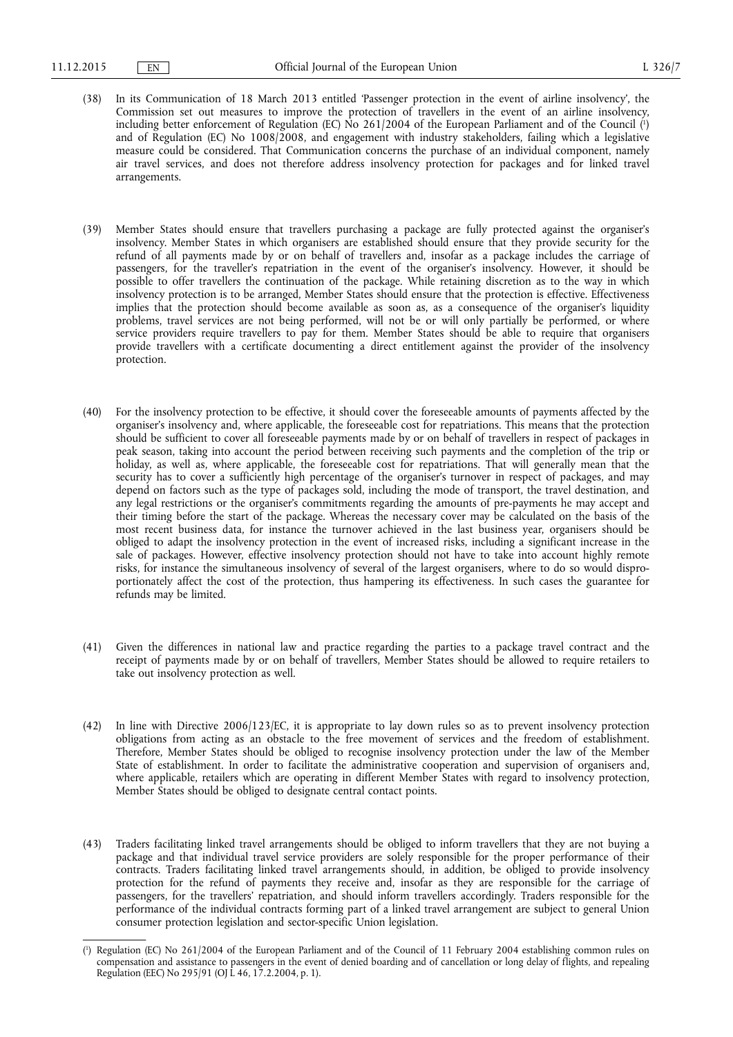- (38) In its Communication of 18 March 2013 entitled 'Passenger protection in the event of airline insolvency', the Commission set out measures to improve the protection of travellers in the event of an airline insolvency, including better enforcement of Regulation (EC) No 261/2004 of the European Parliament and of the Council (<sup>1</sup>) and of Regulation (EC) No 1008/2008, and engagement with industry stakeholders, failing which a legislative measure could be considered. That Communication concerns the purchase of an individual component, namely air travel services, and does not therefore address insolvency protection for packages and for linked travel arrangements.
- (39) Member States should ensure that travellers purchasing a package are fully protected against the organiser's insolvency. Member States in which organisers are established should ensure that they provide security for the refund of all payments made by or on behalf of travellers and, insofar as a package includes the carriage of passengers, for the traveller's repatriation in the event of the organiser's insolvency. However, it should be possible to offer travellers the continuation of the package. While retaining discretion as to the way in which insolvency protection is to be arranged, Member States should ensure that the protection is effective. Effectiveness implies that the protection should become available as soon as, as a consequence of the organiser's liquidity problems, travel services are not being performed, will not be or will only partially be performed, or where service providers require travellers to pay for them. Member States should be able to require that organisers provide travellers with a certificate documenting a direct entitlement against the provider of the insolvency protection.
- (40) For the insolvency protection to be effective, it should cover the foreseeable amounts of payments affected by the organiser's insolvency and, where applicable, the foreseeable cost for repatriations. This means that the protection should be sufficient to cover all foreseeable payments made by or on behalf of travellers in respect of packages in peak season, taking into account the period between receiving such payments and the completion of the trip or holiday, as well as, where applicable, the foreseeable cost for repatriations. That will generally mean that the security has to cover a sufficiently high percentage of the organiser's turnover in respect of packages, and may depend on factors such as the type of packages sold, including the mode of transport, the travel destination, and any legal restrictions or the organiser's commitments regarding the amounts of pre-payments he may accept and their timing before the start of the package. Whereas the necessary cover may be calculated on the basis of the most recent business data, for instance the turnover achieved in the last business year, organisers should be obliged to adapt the insolvency protection in the event of increased risks, including a significant increase in the sale of packages. However, effective insolvency protection should not have to take into account highly remote risks, for instance the simultaneous insolvency of several of the largest organisers, where to do so would disproportionately affect the cost of the protection, thus hampering its effectiveness. In such cases the guarantee for refunds may be limited.
- (41) Given the differences in national law and practice regarding the parties to a package travel contract and the receipt of payments made by or on behalf of travellers, Member States should be allowed to require retailers to take out insolvency protection as well.
- (42) In line with Directive 2006/123/EC, it is appropriate to lay down rules so as to prevent insolvency protection obligations from acting as an obstacle to the free movement of services and the freedom of establishment. Therefore, Member States should be obliged to recognise insolvency protection under the law of the Member State of establishment. In order to facilitate the administrative cooperation and supervision of organisers and, where applicable, retailers which are operating in different Member States with regard to insolvency protection, Member States should be obliged to designate central contact points.
- (43) Traders facilitating linked travel arrangements should be obliged to inform travellers that they are not buying a package and that individual travel service providers are solely responsible for the proper performance of their contracts. Traders facilitating linked travel arrangements should, in addition, be obliged to provide insolvency protection for the refund of payments they receive and, insofar as they are responsible for the carriage of passengers, for the travellers' repatriation, and should inform travellers accordingly. Traders responsible for the performance of the individual contracts forming part of a linked travel arrangement are subject to general Union consumer protection legislation and sector-specific Union legislation.

<sup>(</sup> 1 ) Regulation (EC) No 261/2004 of the European Parliament and of the Council of 11 February 2004 establishing common rules on compensation and assistance to passengers in the event of denied boarding and of cancellation or long delay of flights, and repealing Regulation (EEC) No 295/91 (OJ L 46, 17.2.2004, p. 1).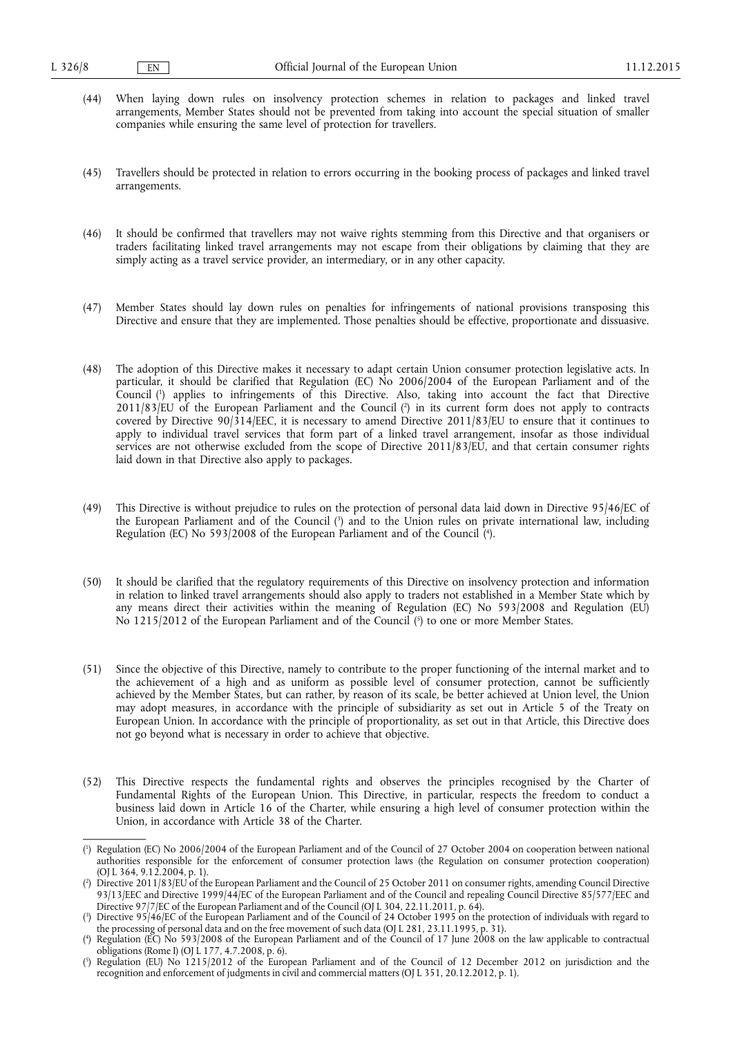- (44) When laying down rules on insolvency protection schemes in relation to packages and linked travel arrangements, Member States should not be prevented from taking into account the special situation of smaller companies while ensuring the same level of protection for travellers.
- (45) Travellers should be protected in relation to errors occurring in the booking process of packages and linked travel arrangements.
- (46) It should be confirmed that travellers may not waive rights stemming from this Directive and that organisers or traders facilitating linked travel arrangements may not escape from their obligations by claiming that they are simply acting as a travel service provider, an intermediary, or in any other capacity.
- (47) Member States should lay down rules on penalties for infringements of national provisions transposing this Directive and ensure that they are implemented. Those penalties should be effective, proportionate and dissuasive.
- (48) The adoption of this Directive makes it necessary to adapt certain Union consumer protection legislative acts. In particular, it should be clarified that Regulation (EC) No 2006/2004 of the European Parliament and of the Council (1 ) applies to infringements of this Directive. Also, taking into account the fact that Directive  $2011/83$ /EU of the European Parliament and the Council  $(2)$  in its current form does not apply to contracts covered by Directive 90/314/EEC, it is necessary to amend Directive 2011/83/EU to ensure that it continues to apply to individual travel services that form part of a linked travel arrangement, insofar as those individual services are not otherwise excluded from the scope of Directive 2011/83/EU, and that certain consumer rights laid down in that Directive also apply to packages.
- (49) This Directive is without prejudice to rules on the protection of personal data laid down in Directive 95/46/EC of the European Parliament and of the Council (3) and to the Union rules on private international law, including Regulation (EC) No 593/2008 of the European Parliament and of the Council (4).
- (50) It should be clarified that the regulatory requirements of this Directive on insolvency protection and information in relation to linked travel arrangements should also apply to traders not established in a Member State which by any means direct their activities within the meaning of Regulation (EC) No 593/2008 and Regulation (EU) No 1215/2012 of the European Parliament and of the Council (5) to one or more Member States.
- (51) Since the objective of this Directive, namely to contribute to the proper functioning of the internal market and to the achievement of a high and as uniform as possible level of consumer protection, cannot be sufficiently achieved by the Member States, but can rather, by reason of its scale, be better achieved at Union level, the Union may adopt measures, in accordance with the principle of subsidiarity as set out in Article 5 of the Treaty on European Union. In accordance with the principle of proportionality, as set out in that Article, this Directive does not go beyond what is necessary in order to achieve that objective.
- (52) This Directive respects the fundamental rights and observes the principles recognised by the Charter of Fundamental Rights of the European Union. This Directive, in particular, respects the freedom to conduct a business laid down in Article 16 of the Charter, while ensuring a high level of consumer protection within the Union, in accordance with Article 38 of the Charter.

<sup>(</sup> 1 ) Regulation (EC) No 2006/2004 of the European Parliament and of the Council of 27 October 2004 on cooperation between national authorities responsible for the enforcement of consumer protection laws (the Regulation on consumer protection cooperation) (OJ L 364, 9.12.2004, p. 1).

<sup>(</sup> 2 ) Directive 2011/83/EU of the European Parliament and the Council of 25 October 2011 on consumer rights, amending Council Directive 93/13/EEC and Directive 1999/44/EC of the European Parliament and of the Council and repealing Council Directive 85/577/EEC and Directive 97/7/EC of the European Parliament and of the Council (OJ L 304, 22.11.2011, p. 64).

<sup>(</sup> 3 ) Directive 95/46/EC of the European Parliament and of the Council of 24 October 1995 on the protection of individuals with regard to the processing of personal data and on the free movement of such data (OJ L 281, 23.11.1995, p. 31).

<sup>(</sup> 4 ) Regulation (EC) No 593/2008 of the European Parliament and of the Council of 17 June 2008 on the law applicable to contractual obligations (Rome I) (OJ L 177, 4.7.2008, p. 6).

<sup>(</sup> 5 ) Regulation (EU) No 1215/2012 of the European Parliament and of the Council of 12 December 2012 on jurisdiction and the recognition and enforcement of judgments in civil and commercial matters (OJ L 351, 20.12.2012, p. 1).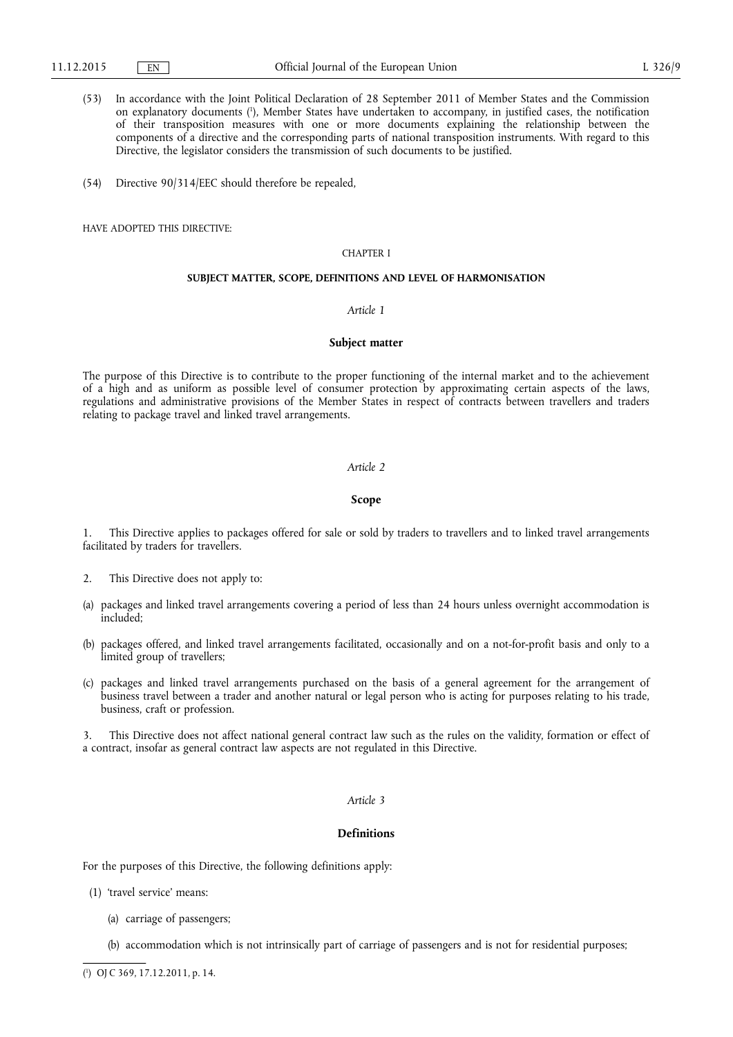- (53) In accordance with the Joint Political Declaration of 28 September 2011 of Member States and the Commission on explanatory documents (1 ), Member States have undertaken to accompany, in justified cases, the notification of their transposition measures with one or more documents explaining the relationship between the components of a directive and the corresponding parts of national transposition instruments. With regard to this Directive, the legislator considers the transmission of such documents to be justified.
- (54) Directive 90/314/EEC should therefore be repealed,

HAVE ADOPTED THIS DIRECTIVE:

## CHAPTER I

## **SUBJECT MATTER, SCOPE, DEFINITIONS AND LEVEL OF HARMONISATION**

#### *Article 1*

## **Subject matter**

The purpose of this Directive is to contribute to the proper functioning of the internal market and to the achievement of a high and as uniform as possible level of consumer protection by approximating certain aspects of the laws, regulations and administrative provisions of the Member States in respect of contracts between travellers and traders relating to package travel and linked travel arrangements.

## *Article 2*

#### **Scope**

1. This Directive applies to packages offered for sale or sold by traders to travellers and to linked travel arrangements facilitated by traders for travellers.

- 2. This Directive does not apply to:
- (a) packages and linked travel arrangements covering a period of less than 24 hours unless overnight accommodation is included;
- (b) packages offered, and linked travel arrangements facilitated, occasionally and on a not-for-profit basis and only to a limited group of travellers;
- (c) packages and linked travel arrangements purchased on the basis of a general agreement for the arrangement of business travel between a trader and another natural or legal person who is acting for purposes relating to his trade, business, craft or profession.

3. This Directive does not affect national general contract law such as the rules on the validity, formation or effect of a contract, insofar as general contract law aspects are not regulated in this Directive.

## *Article 3*

## **Definitions**

For the purposes of this Directive, the following definitions apply:

- (1) 'travel service' means:
	- (a) carriage of passengers;
	- (b) accommodation which is not intrinsically part of carriage of passengers and is not for residential purposes;

<sup>(</sup> 1 ) OJ C 369, 17.12.2011, p. 14.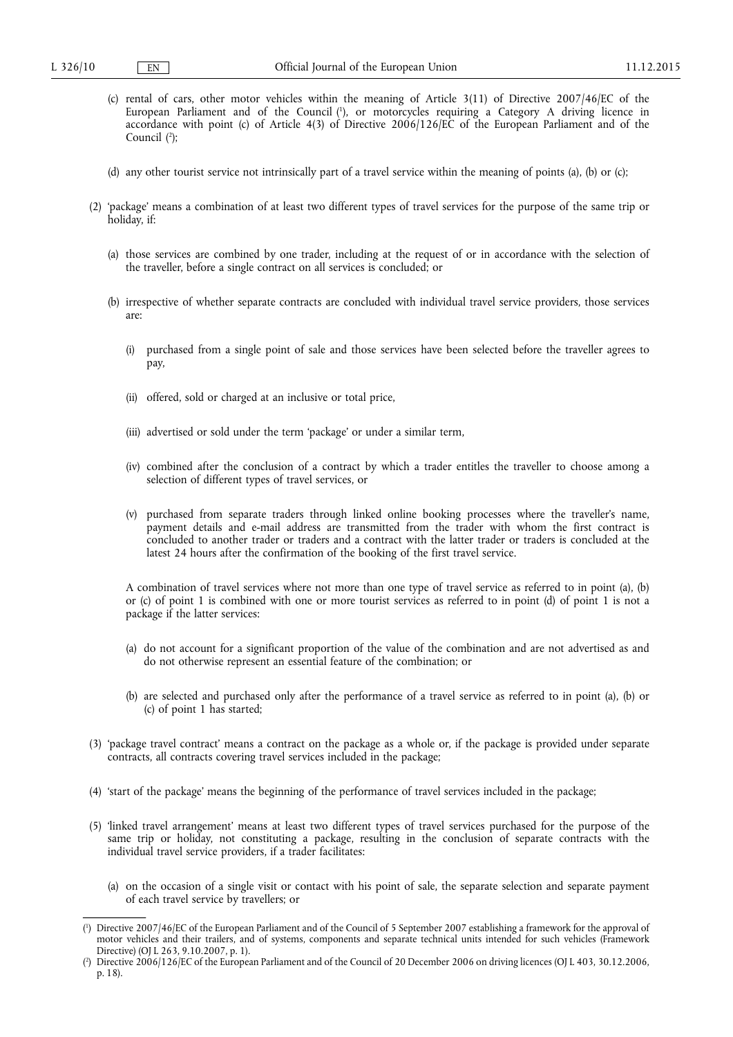- (c) rental of cars, other motor vehicles within the meaning of Article 3(11) of Directive 2007/46/EC of the European Parliament and of the Council (1 ), or motorcycles requiring a Category A driving licence in accordance with point (c) of Article 4(3) of Directive 2006/126/EC of the European Parliament and of the Council  $(2)$ ;
- (d) any other tourist service not intrinsically part of a travel service within the meaning of points (a), (b) or (c);
- (2) 'package' means a combination of at least two different types of travel services for the purpose of the same trip or holiday, if:
	- (a) those services are combined by one trader, including at the request of or in accordance with the selection of the traveller, before a single contract on all services is concluded; or
	- (b) irrespective of whether separate contracts are concluded with individual travel service providers, those services are:
		- (i) purchased from a single point of sale and those services have been selected before the traveller agrees to pay,
		- (ii) offered, sold or charged at an inclusive or total price,
		- (iii) advertised or sold under the term 'package' or under a similar term,
		- (iv) combined after the conclusion of a contract by which a trader entitles the traveller to choose among a selection of different types of travel services, or
		- (v) purchased from separate traders through linked online booking processes where the traveller's name, payment details and e-mail address are transmitted from the trader with whom the first contract is concluded to another trader or traders and a contract with the latter trader or traders is concluded at the latest 24 hours after the confirmation of the booking of the first travel service.

A combination of travel services where not more than one type of travel service as referred to in point (a), (b) or (c) of point 1 is combined with one or more tourist services as referred to in point (d) of point 1 is not a package if the latter services:

- (a) do not account for a significant proportion of the value of the combination and are not advertised as and do not otherwise represent an essential feature of the combination; or
- (b) are selected and purchased only after the performance of a travel service as referred to in point (a), (b) or (c) of point 1 has started;
- (3) 'package travel contract' means a contract on the package as a whole or, if the package is provided under separate contracts, all contracts covering travel services included in the package;
- (4) 'start of the package' means the beginning of the performance of travel services included in the package;
- (5) 'linked travel arrangement' means at least two different types of travel services purchased for the purpose of the same trip or holiday, not constituting a package, resulting in the conclusion of separate contracts with the individual travel service providers, if a trader facilitates:
	- (a) on the occasion of a single visit or contact with his point of sale, the separate selection and separate payment of each travel service by travellers; or

<sup>(</sup> 1 ) Directive 2007/46/EC of the European Parliament and of the Council of 5 September 2007 establishing a framework for the approval of motor vehicles and their trailers, and of systems, components and separate technical units intended for such vehicles (Framework Directive) (OJ L 263, 9.10.2007, p. 1).

<sup>(</sup> 2 ) Directive 2006/126/EC of the European Parliament and of the Council of 20 December 2006 on driving licences (OJ L 403, 30.12.2006, p. 18).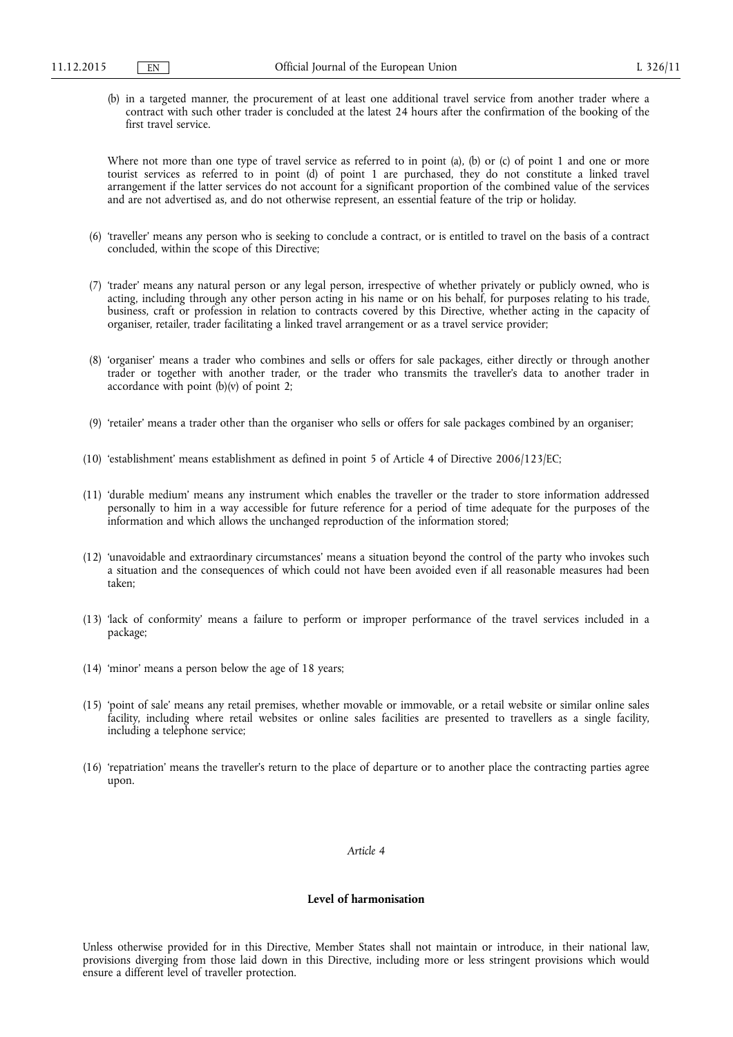(b) in a targeted manner, the procurement of at least one additional travel service from another trader where a contract with such other trader is concluded at the latest 24 hours after the confirmation of the booking of the first travel service.

Where not more than one type of travel service as referred to in point (a), (b) or (c) of point 1 and one or more tourist services as referred to in point (d) of point 1 are purchased, they do not constitute a linked travel arrangement if the latter services do not account for a significant proportion of the combined value of the services and are not advertised as, and do not otherwise represent, an essential feature of the trip or holiday.

- (6) 'traveller' means any person who is seeking to conclude a contract, or is entitled to travel on the basis of a contract concluded, within the scope of this Directive;
- (7) 'trader' means any natural person or any legal person, irrespective of whether privately or publicly owned, who is acting, including through any other person acting in his name or on his behalf, for purposes relating to his trade, business, craft or profession in relation to contracts covered by this Directive, whether acting in the capacity of organiser, retailer, trader facilitating a linked travel arrangement or as a travel service provider;
- (8) 'organiser' means a trader who combines and sells or offers for sale packages, either directly or through another trader or together with another trader, or the trader who transmits the traveller's data to another trader in accordance with point (b)(v) of point 2;
- (9) 'retailer' means a trader other than the organiser who sells or offers for sale packages combined by an organiser;
- (10) 'establishment' means establishment as defined in point 5 of Article 4 of Directive 2006/123/EC;
- (11) 'durable medium' means any instrument which enables the traveller or the trader to store information addressed personally to him in a way accessible for future reference for a period of time adequate for the purposes of the information and which allows the unchanged reproduction of the information stored;
- (12) 'unavoidable and extraordinary circumstances' means a situation beyond the control of the party who invokes such a situation and the consequences of which could not have been avoided even if all reasonable measures had been taken;
- (13) 'lack of conformity' means a failure to perform or improper performance of the travel services included in a package;
- (14) 'minor' means a person below the age of 18 years;
- (15) 'point of sale' means any retail premises, whether movable or immovable, or a retail website or similar online sales facility, including where retail websites or online sales facilities are presented to travellers as a single facility, including a telephone service;
- (16) 'repatriation' means the traveller's return to the place of departure or to another place the contracting parties agree upon.

## *Article 4*

## **Level of harmonisation**

Unless otherwise provided for in this Directive, Member States shall not maintain or introduce, in their national law, provisions diverging from those laid down in this Directive, including more or less stringent provisions which would ensure a different level of traveller protection.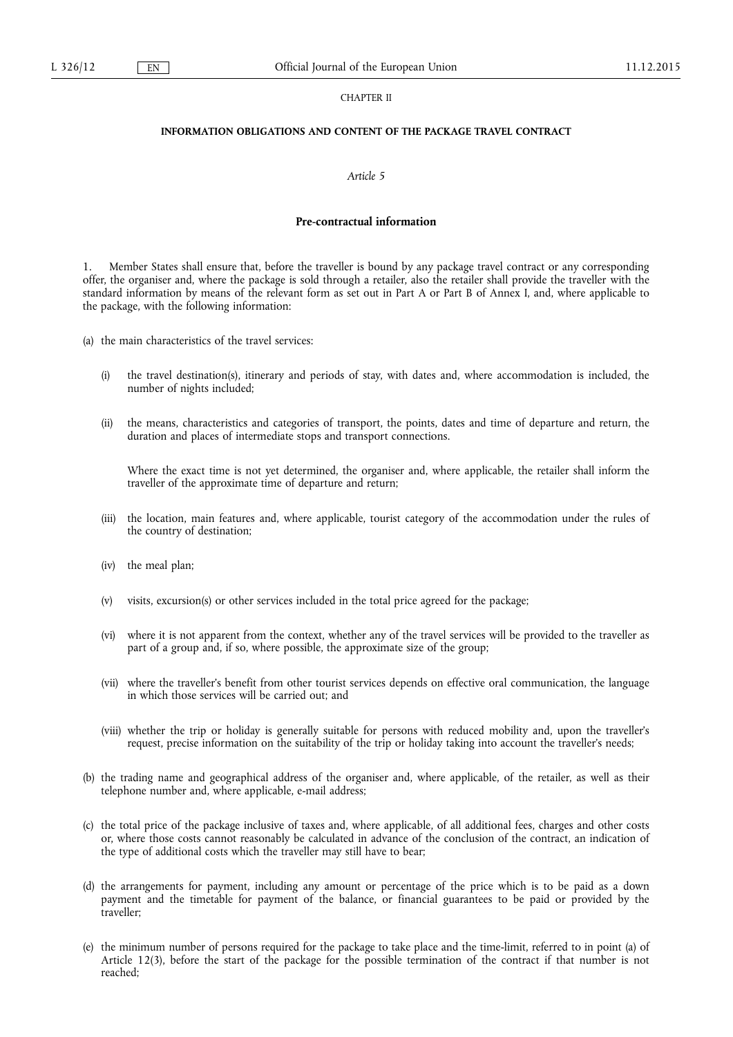## CHAPTER II

## **INFORMATION OBLIGATIONS AND CONTENT OF THE PACKAGE TRAVEL CONTRACT**

## *Article 5*

## **Pre-contractual information**

1. Member States shall ensure that, before the traveller is bound by any package travel contract or any corresponding offer, the organiser and, where the package is sold through a retailer, also the retailer shall provide the traveller with the standard information by means of the relevant form as set out in Part A or Part B of Annex I, and, where applicable to the package, with the following information:

- (a) the main characteristics of the travel services:
	- (i) the travel destination(s), itinerary and periods of stay, with dates and, where accommodation is included, the number of nights included;
	- (ii) the means, characteristics and categories of transport, the points, dates and time of departure and return, the duration and places of intermediate stops and transport connections.

Where the exact time is not yet determined, the organiser and, where applicable, the retailer shall inform the traveller of the approximate time of departure and return;

- (iii) the location, main features and, where applicable, tourist category of the accommodation under the rules of the country of destination;
- (iv) the meal plan;
- (v) visits, excursion(s) or other services included in the total price agreed for the package;
- (vi) where it is not apparent from the context, whether any of the travel services will be provided to the traveller as part of a group and, if so, where possible, the approximate size of the group;
- (vii) where the traveller's benefit from other tourist services depends on effective oral communication, the language in which those services will be carried out; and
- (viii) whether the trip or holiday is generally suitable for persons with reduced mobility and, upon the traveller's request, precise information on the suitability of the trip or holiday taking into account the traveller's needs;
- (b) the trading name and geographical address of the organiser and, where applicable, of the retailer, as well as their telephone number and, where applicable, e-mail address;
- (c) the total price of the package inclusive of taxes and, where applicable, of all additional fees, charges and other costs or, where those costs cannot reasonably be calculated in advance of the conclusion of the contract, an indication of the type of additional costs which the traveller may still have to bear;
- (d) the arrangements for payment, including any amount or percentage of the price which is to be paid as a down payment and the timetable for payment of the balance, or financial guarantees to be paid or provided by the traveller;
- (e) the minimum number of persons required for the package to take place and the time-limit, referred to in point (a) of Article 12(3), before the start of the package for the possible termination of the contract if that number is not reached;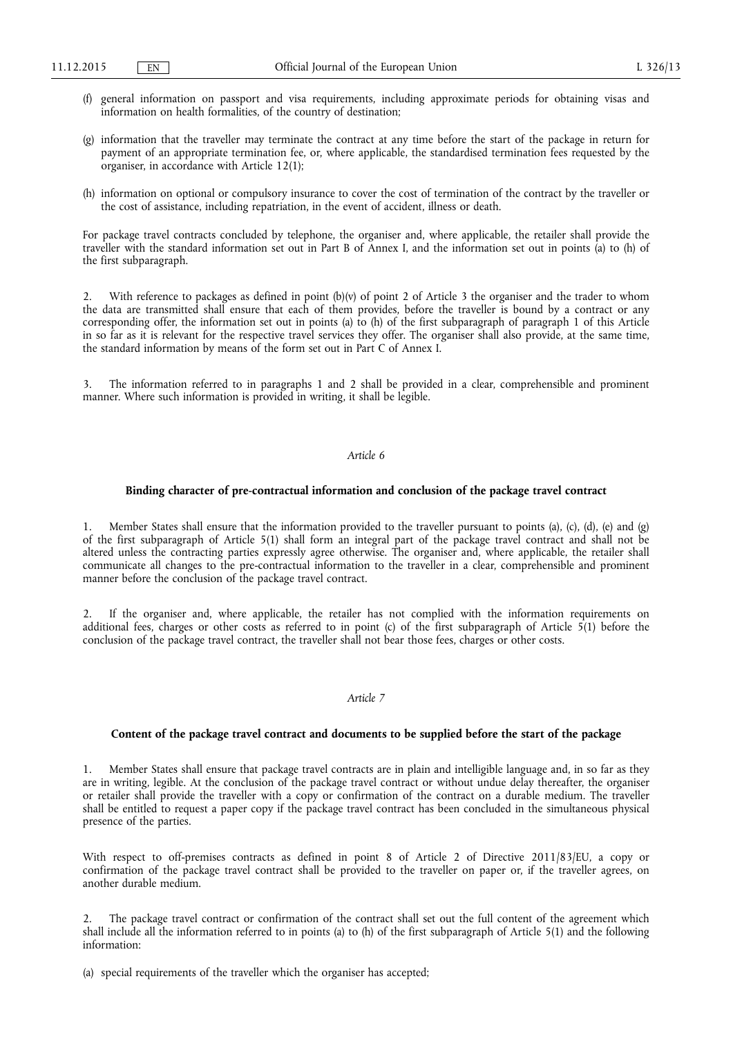- (f) general information on passport and visa requirements, including approximate periods for obtaining visas and information on health formalities, of the country of destination;
- (g) information that the traveller may terminate the contract at any time before the start of the package in return for payment of an appropriate termination fee, or, where applicable, the standardised termination fees requested by the organiser, in accordance with Article 12(1);
- (h) information on optional or compulsory insurance to cover the cost of termination of the contract by the traveller or the cost of assistance, including repatriation, in the event of accident, illness or death.

For package travel contracts concluded by telephone, the organiser and, where applicable, the retailer shall provide the traveller with the standard information set out in Part B of Annex I, and the information set out in points (a) to (h) of the first subparagraph.

With reference to packages as defined in point (b)(v) of point 2 of Article 3 the organiser and the trader to whom the data are transmitted shall ensure that each of them provides, before the traveller is bound by a contract or any corresponding offer, the information set out in points (a) to (h) of the first subparagraph of paragraph 1 of this Article in so far as it is relevant for the respective travel services they offer. The organiser shall also provide, at the same time, the standard information by means of the form set out in Part C of Annex I.

3. The information referred to in paragraphs 1 and 2 shall be provided in a clear, comprehensible and prominent manner. Where such information is provided in writing, it shall be legible.

## *Article 6*

## **Binding character of pre-contractual information and conclusion of the package travel contract**

1. Member States shall ensure that the information provided to the traveller pursuant to points (a), (c), (d), (e) and (g) of the first subparagraph of Article 5(1) shall form an integral part of the package travel contract and shall not be altered unless the contracting parties expressly agree otherwise. The organiser and, where applicable, the retailer shall communicate all changes to the pre-contractual information to the traveller in a clear, comprehensible and prominent manner before the conclusion of the package travel contract.

2. If the organiser and, where applicable, the retailer has not complied with the information requirements on additional fees, charges or other costs as referred to in point (c) of the first subparagraph of Article  $\frac{1}{2}$  before the conclusion of the package travel contract, the traveller shall not bear those fees, charges or other costs.

## *Article 7*

## **Content of the package travel contract and documents to be supplied before the start of the package**

1. Member States shall ensure that package travel contracts are in plain and intelligible language and, in so far as they are in writing, legible. At the conclusion of the package travel contract or without undue delay thereafter, the organiser or retailer shall provide the traveller with a copy or confirmation of the contract on a durable medium. The traveller shall be entitled to request a paper copy if the package travel contract has been concluded in the simultaneous physical presence of the parties.

With respect to off-premises contracts as defined in point 8 of Article 2 of Directive 2011/83/EU, a copy or confirmation of the package travel contract shall be provided to the traveller on paper or, if the traveller agrees, on another durable medium.

The package travel contract or confirmation of the contract shall set out the full content of the agreement which shall include all the information referred to in points (a) to (h) of the first subparagraph of Article 5(1) and the following information:

(a) special requirements of the traveller which the organiser has accepted;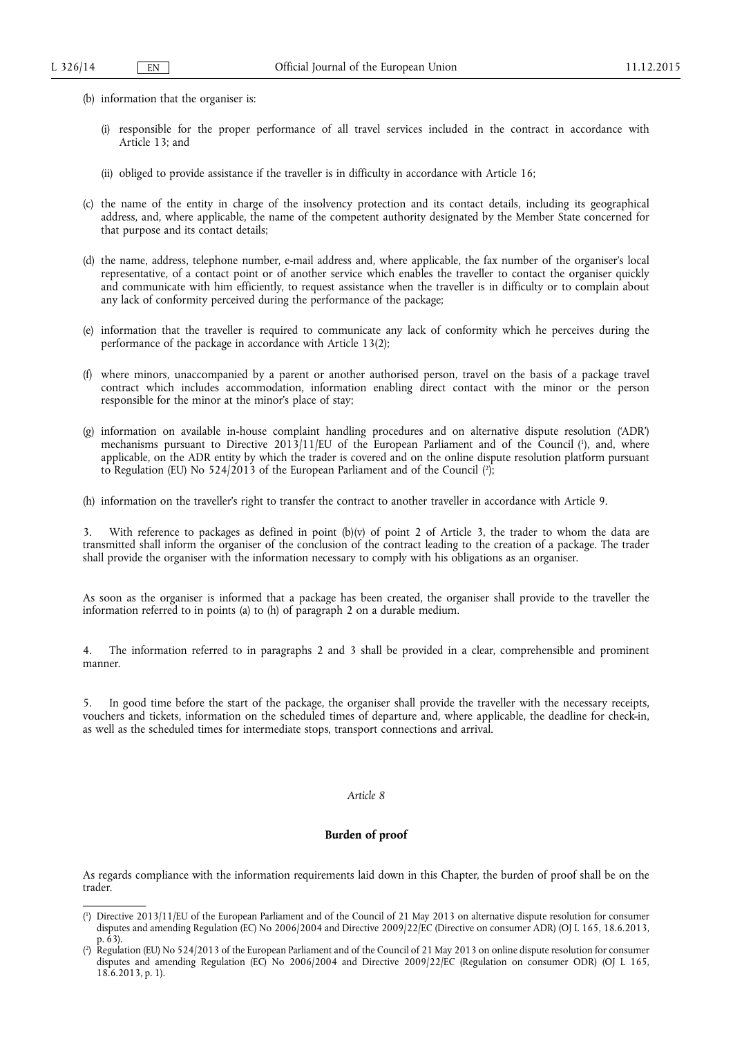- (b) information that the organiser is:
	- (i) responsible for the proper performance of all travel services included in the contract in accordance with Article 13; and
	- (ii) obliged to provide assistance if the traveller is in difficulty in accordance with Article 16;
- (c) the name of the entity in charge of the insolvency protection and its contact details, including its geographical address, and, where applicable, the name of the competent authority designated by the Member State concerned for that purpose and its contact details;
- (d) the name, address, telephone number, e-mail address and, where applicable, the fax number of the organiser's local representative, of a contact point or of another service which enables the traveller to contact the organiser quickly and communicate with him efficiently, to request assistance when the traveller is in difficulty or to complain about any lack of conformity perceived during the performance of the package;
- (e) information that the traveller is required to communicate any lack of conformity which he perceives during the performance of the package in accordance with Article 13(2);
- (f) where minors, unaccompanied by a parent or another authorised person, travel on the basis of a package travel contract which includes accommodation, information enabling direct contact with the minor or the person responsible for the minor at the minor's place of stay;
- (g) information on available in-house complaint handling procedures and on alternative dispute resolution ('ADR') mechanisms pursuant to Directive 2013/11/EU of the European Parliament and of the Council (1 ), and, where applicable, on the ADR entity by which the trader is covered and on the online dispute resolution platform pursuant to Regulation (EU) No 524/2013 of the European Parliament and of the Council (<sup>2</sup>);
- (h) information on the traveller's right to transfer the contract to another traveller in accordance with Article 9.

With reference to packages as defined in point  $(b)(v)$  of point 2 of Article 3, the trader to whom the data are transmitted shall inform the organiser of the conclusion of the contract leading to the creation of a package. The trader shall provide the organiser with the information necessary to comply with his obligations as an organiser.

As soon as the organiser is informed that a package has been created, the organiser shall provide to the traveller the information referred to in points (a) to (h) of paragraph 2 on a durable medium.

4. The information referred to in paragraphs 2 and 3 shall be provided in a clear, comprehensible and prominent manner.

5. In good time before the start of the package, the organiser shall provide the traveller with the necessary receipts, vouchers and tickets, information on the scheduled times of departure and, where applicable, the deadline for check-in, as well as the scheduled times for intermediate stops, transport connections and arrival.

#### *Article 8*

## **Burden of proof**

As regards compliance with the information requirements laid down in this Chapter, the burden of proof shall be on the trader.

<sup>(</sup> 1 ) Directive 2013/11/EU of the European Parliament and of the Council of 21 May 2013 on alternative dispute resolution for consumer disputes and amending Regulation (EC) No 2006/2004 and Directive 2009/22/EC (Directive on consumer ADR) (OJ L 165, 18.6.2013, p. 63).

<sup>(</sup> 2 ) Regulation (EU) No 524/2013 of the European Parliament and of the Council of 21 May 2013 on online dispute resolution for consumer disputes and amending Regulation (EC) No 2006/2004 and Directive 2009/22/EC (Regulation on consumer ODR) (OJ L 165, 18.6.2013, p. 1).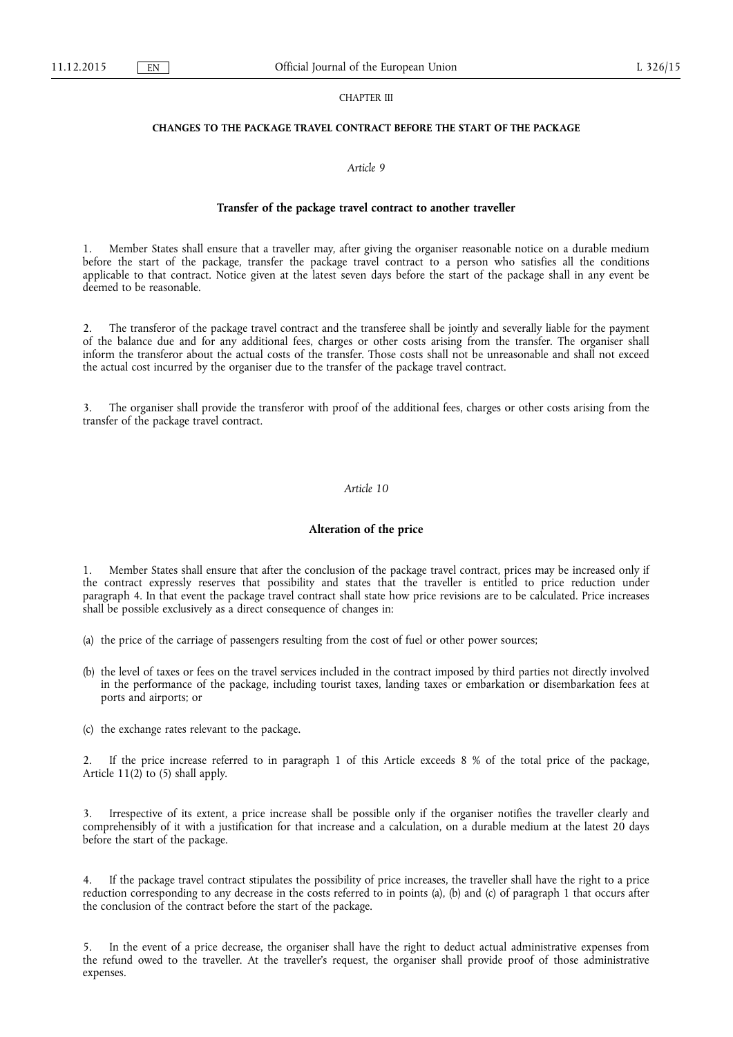## CHAPTER III

## **CHANGES TO THE PACKAGE TRAVEL CONTRACT BEFORE THE START OF THE PACKAGE**

## *Article 9*

## **Transfer of the package travel contract to another traveller**

1. Member States shall ensure that a traveller may, after giving the organiser reasonable notice on a durable medium before the start of the package, transfer the package travel contract to a person who satisfies all the conditions applicable to that contract. Notice given at the latest seven days before the start of the package shall in any event be deemed to be reasonable.

2. The transferor of the package travel contract and the transferee shall be jointly and severally liable for the payment of the balance due and for any additional fees, charges or other costs arising from the transfer. The organiser shall inform the transferor about the actual costs of the transfer. Those costs shall not be unreasonable and shall not exceed the actual cost incurred by the organiser due to the transfer of the package travel contract.

3. The organiser shall provide the transferor with proof of the additional fees, charges or other costs arising from the transfer of the package travel contract.

#### *Article 10*

## **Alteration of the price**

1. Member States shall ensure that after the conclusion of the package travel contract, prices may be increased only if the contract expressly reserves that possibility and states that the traveller is entitled to price reduction under paragraph 4. In that event the package travel contract shall state how price revisions are to be calculated. Price increases shall be possible exclusively as a direct consequence of changes in:

- (a) the price of the carriage of passengers resulting from the cost of fuel or other power sources;
- (b) the level of taxes or fees on the travel services included in the contract imposed by third parties not directly involved in the performance of the package, including tourist taxes, landing taxes or embarkation or disembarkation fees at ports and airports; or
- (c) the exchange rates relevant to the package.

2. If the price increase referred to in paragraph 1 of this Article exceeds 8 % of the total price of the package, Article  $11(2)$  to  $(5)$  shall apply.

3. Irrespective of its extent, a price increase shall be possible only if the organiser notifies the traveller clearly and comprehensibly of it with a justification for that increase and a calculation, on a durable medium at the latest 20 days before the start of the package.

If the package travel contract stipulates the possibility of price increases, the traveller shall have the right to a price reduction corresponding to any decrease in the costs referred to in points (a), (b) and (c) of paragraph 1 that occurs after the conclusion of the contract before the start of the package.

5. In the event of a price decrease, the organiser shall have the right to deduct actual administrative expenses from the refund owed to the traveller. At the traveller's request, the organiser shall provide proof of those administrative expenses.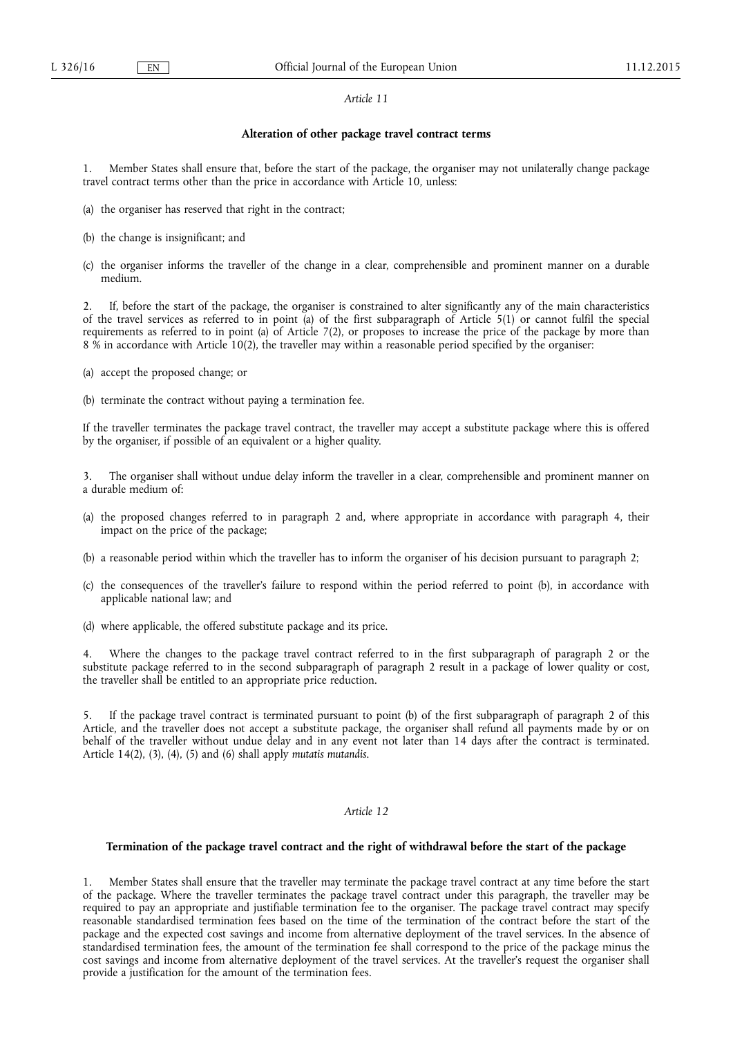## **Alteration of other package travel contract terms**

1. Member States shall ensure that, before the start of the package, the organiser may not unilaterally change package travel contract terms other than the price in accordance with Article 10*,* unless:

- (a) the organiser has reserved that right in the contract;
- (b) the change is insignificant; and
- (c) the organiser informs the traveller of the change in a clear, comprehensible and prominent manner on a durable medium.

2. If, before the start of the package, the organiser is constrained to alter significantly any of the main characteristics of the travel services as referred to in point (a) of the first subparagraph of Article  $5(1)$  or cannot fulfil the special requirements as referred to in point (a) of Article 7(2), or proposes to increase the price of the package by more than 8 % in accordance with Article 10(2), the traveller may within a reasonable period specified by the organiser:

(a) accept the proposed change; or

(b) terminate the contract without paying a termination fee.

If the traveller terminates the package travel contract, the traveller may accept a substitute package where this is offered by the organiser, if possible of an equivalent or a higher quality.

The organiser shall without undue delay inform the traveller in a clear, comprehensible and prominent manner on a durable medium of:

- (a) the proposed changes referred to in paragraph 2 and, where appropriate in accordance with paragraph 4, their impact on the price of the package;
- (b) a reasonable period within which the traveller has to inform the organiser of his decision pursuant to paragraph 2;
- (c) the consequences of the traveller's failure to respond within the period referred to point (b), in accordance with applicable national law; and
- (d) where applicable, the offered substitute package and its price.

Where the changes to the package travel contract referred to in the first subparagraph of paragraph 2 or the substitute package referred to in the second subparagraph of paragraph 2 result in a package of lower quality or cost, the traveller shall be entitled to an appropriate price reduction.

If the package travel contract is terminated pursuant to point  $(b)$  of the first subparagraph of paragraph 2 of this Article, and the traveller does not accept a substitute package, the organiser shall refund all payments made by or on behalf of the traveller without undue delay and in any event not later than 14 days after the contract is terminated. Article 14(2), (3), (4), (5) and (6) shall apply *mutatis mutandis*.

## *Article 12*

## **Termination of the package travel contract and the right of withdrawal before the start of the package**

1. Member States shall ensure that the traveller may terminate the package travel contract at any time before the start of the package. Where the traveller terminates the package travel contract under this paragraph, the traveller may be required to pay an appropriate and justifiable termination fee to the organiser. The package travel contract may specify reasonable standardised termination fees based on the time of the termination of the contract before the start of the package and the expected cost savings and income from alternative deployment of the travel services. In the absence of standardised termination fees, the amount of the termination fee shall correspond to the price of the package minus the cost savings and income from alternative deployment of the travel services. At the traveller's request the organiser shall provide a justification for the amount of the termination fees.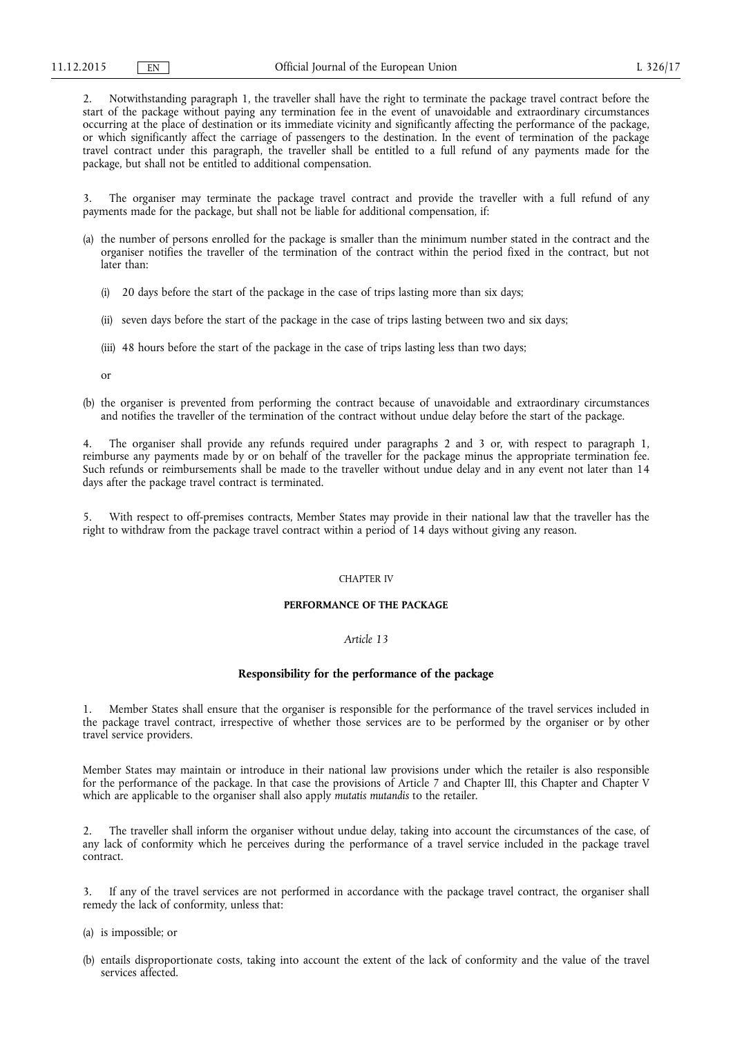2. Notwithstanding paragraph 1, the traveller shall have the right to terminate the package travel contract before the start of the package without paying any termination fee in the event of unavoidable and extraordinary circumstances occurring at the place of destination or its immediate vicinity and significantly affecting the performance of the package, or which significantly affect the carriage of passengers to the destination. In the event of termination of the package travel contract under this paragraph, the traveller shall be entitled to a full refund of any payments made for the package, but shall not be entitled to additional compensation.

The organiser may terminate the package travel contract and provide the traveller with a full refund of any payments made for the package, but shall not be liable for additional compensation, if:

- (a) the number of persons enrolled for the package is smaller than the minimum number stated in the contract and the organiser notifies the traveller of the termination of the contract within the period fixed in the contract, but not later than:
	- (i) 20 days before the start of the package in the case of trips lasting more than six days;
	- (ii) seven days before the start of the package in the case of trips lasting between two and six days;
	- (iii) 48 hours before the start of the package in the case of trips lasting less than two days;

or

(b) the organiser is prevented from performing the contract because of unavoidable and extraordinary circumstances and notifies the traveller of the termination of the contract without undue delay before the start of the package.

4. The organiser shall provide any refunds required under paragraphs 2 and 3 or, with respect to paragraph 1, reimburse any payments made by or on behalf of the traveller for the package minus the appropriate termination fee. Such refunds or reimbursements shall be made to the traveller without undue delay and in any event not later than 14 days after the package travel contract is terminated.

5. With respect to off-premises contracts, Member States may provide in their national law that the traveller has the right to withdraw from the package travel contract within a period of 14 days without giving any reason.

## CHAPTER IV

## **PERFORMANCE OF THE PACKAGE**

## *Article 13*

## **Responsibility for the performance of the package**

1. Member States shall ensure that the organiser is responsible for the performance of the travel services included in the package travel contract, irrespective of whether those services are to be performed by the organiser or by other travel service providers.

Member States may maintain or introduce in their national law provisions under which the retailer is also responsible for the performance of the package. In that case the provisions of Article 7 and Chapter III, this Chapter and Chapter V which are applicable to the organiser shall also apply *mutatis mutandis* to the retailer.

2. The traveller shall inform the organiser without undue delay, taking into account the circumstances of the case, of any lack of conformity which he perceives during the performance of a travel service included in the package travel contract.

3. If any of the travel services are not performed in accordance with the package travel contract, the organiser shall remedy the lack of conformity, unless that:

- (a) is impossible; or
- (b) entails disproportionate costs, taking into account the extent of the lack of conformity and the value of the travel services affected.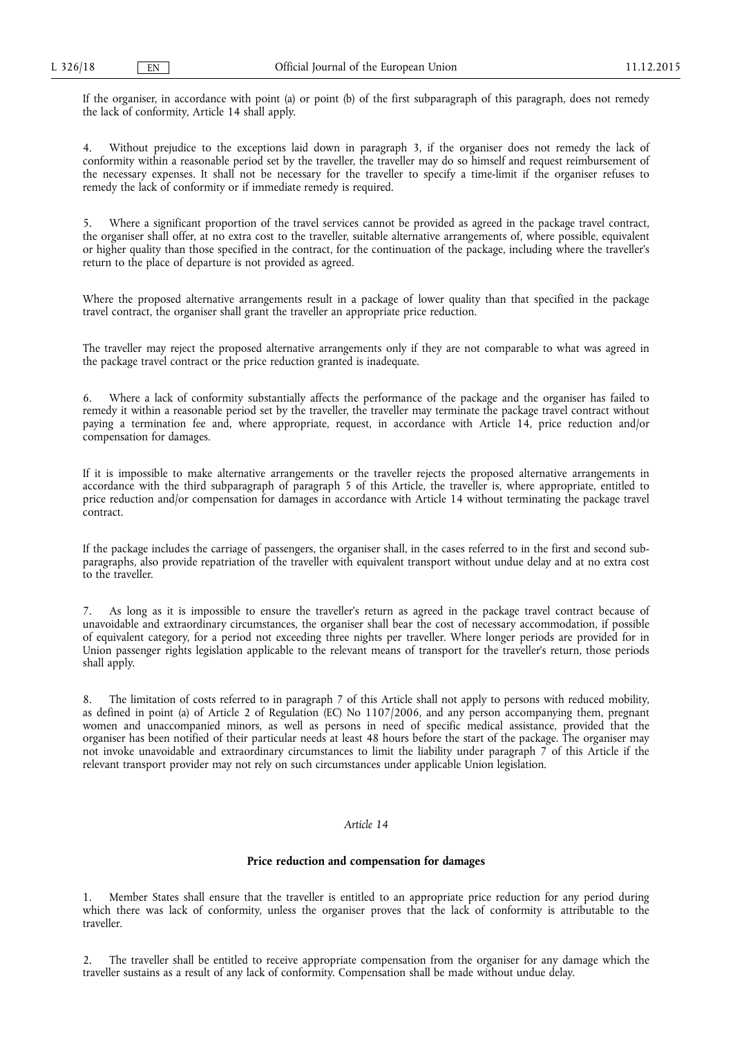If the organiser, in accordance with point (a) or point (b) of the first subparagraph of this paragraph, does not remedy the lack of conformity, Article 14 shall apply.

4. Without prejudice to the exceptions laid down in paragraph 3, if the organiser does not remedy the lack of conformity within a reasonable period set by the traveller, the traveller may do so himself and request reimbursement of the necessary expenses. It shall not be necessary for the traveller to specify a time-limit if the organiser refuses to remedy the lack of conformity or if immediate remedy is required.

5. Where a significant proportion of the travel services cannot be provided as agreed in the package travel contract, the organiser shall offer, at no extra cost to the traveller, suitable alternative arrangements of, where possible, equivalent or higher quality than those specified in the contract, for the continuation of the package, including where the traveller's return to the place of departure is not provided as agreed.

Where the proposed alternative arrangements result in a package of lower quality than that specified in the package travel contract, the organiser shall grant the traveller an appropriate price reduction.

The traveller may reject the proposed alternative arrangements only if they are not comparable to what was agreed in the package travel contract or the price reduction granted is inadequate.

6. Where a lack of conformity substantially affects the performance of the package and the organiser has failed to remedy it within a reasonable period set by the traveller, the traveller may terminate the package travel contract without paying a termination fee and, where appropriate, request, in accordance with Article 14, price reduction and/or compensation for damages.

If it is impossible to make alternative arrangements or the traveller rejects the proposed alternative arrangements in accordance with the third subparagraph of paragraph 5 of this Article, the traveller is, where appropriate, entitled to price reduction and/or compensation for damages in accordance with Article 14 without terminating the package travel contract.

If the package includes the carriage of passengers, the organiser shall, in the cases referred to in the first and second subparagraphs, also provide repatriation of the traveller with equivalent transport without undue delay and at no extra cost to the traveller.

7. As long as it is impossible to ensure the traveller's return as agreed in the package travel contract because of unavoidable and extraordinary circumstances, the organiser shall bear the cost of necessary accommodation, if possible of equivalent category, for a period not exceeding three nights per traveller. Where longer periods are provided for in Union passenger rights legislation applicable to the relevant means of transport for the traveller's return, those periods shall apply.

8. The limitation of costs referred to in paragraph 7 of this Article shall not apply to persons with reduced mobility, as defined in point (a) of Article 2 of Regulation (EC) No 1107/2006, and any person accompanying them, pregnant women and unaccompanied minors, as well as persons in need of specific medical assistance, provided that the organiser has been notified of their particular needs at least 48 hours before the start of the package. The organiser may not invoke unavoidable and extraordinary circumstances to limit the liability under paragraph  $\bar{z}$  of this Article if the relevant transport provider may not rely on such circumstances under applicable Union legislation.

## *Article 14*

## **Price reduction and compensation for damages**

1. Member States shall ensure that the traveller is entitled to an appropriate price reduction for any period during which there was lack of conformity, unless the organiser proves that the lack of conformity is attributable to the traveller.

2. The traveller shall be entitled to receive appropriate compensation from the organiser for any damage which the traveller sustains as a result of any lack of conformity. Compensation shall be made without undue delay.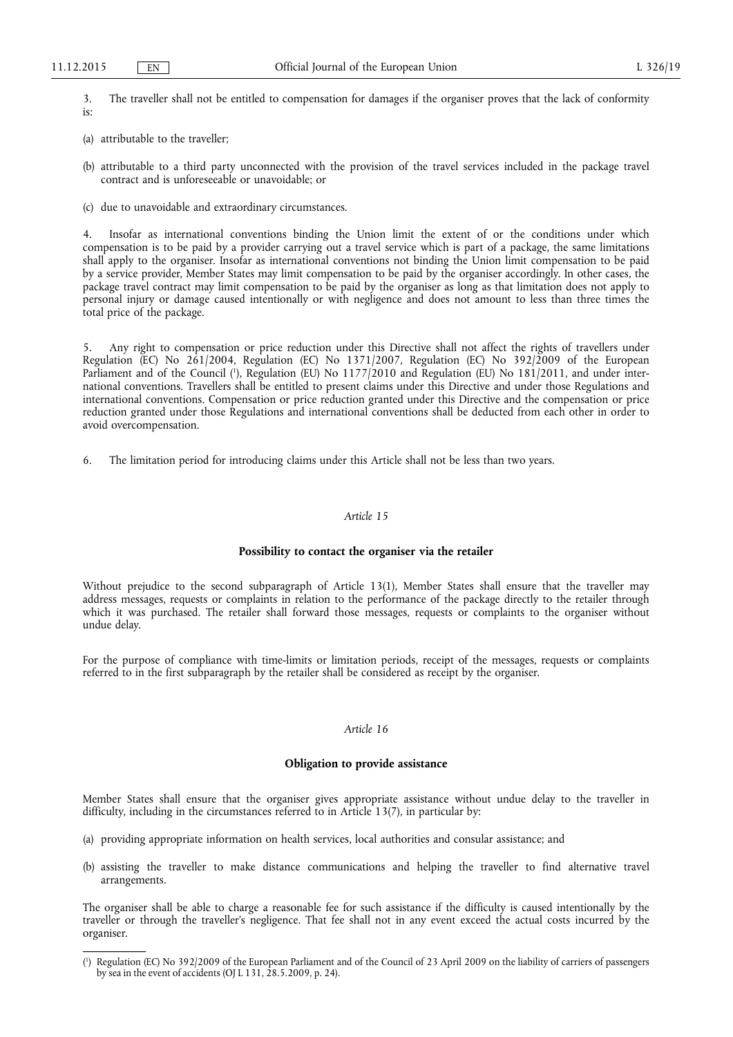3. The traveller shall not be entitled to compensation for damages if the organiser proves that the lack of conformity is:

- (a) attributable to the traveller;
- (b) attributable to a third party unconnected with the provision of the travel services included in the package travel contract and is unforeseeable or unavoidable; or
- (c) due to unavoidable and extraordinary circumstances.

Insofar as international conventions binding the Union limit the extent of or the conditions under which compensation is to be paid by a provider carrying out a travel service which is part of a package, the same limitations shall apply to the organiser. Insofar as international conventions not binding the Union limit compensation to be paid by a service provider, Member States may limit compensation to be paid by the organiser accordingly. In other cases, the package travel contract may limit compensation to be paid by the organiser as long as that limitation does not apply to personal injury or damage caused intentionally or with negligence and does not amount to less than three times the total price of the package.

5. Any right to compensation or price reduction under this Directive shall not affect the rights of travellers under Regulation (EC) No 261/2004, Regulation (EC) No 1371/2007, Regulation (EC) No 392/2009 of the European Parliament and of the Council (1 ), Regulation (EU) No 1177/2010 and Regulation (EU) No 181/2011, and under international conventions. Travellers shall be entitled to present claims under this Directive and under those Regulations and international conventions. Compensation or price reduction granted under this Directive and the compensation or price reduction granted under those Regulations and international conventions shall be deducted from each other in order to avoid overcompensation.

6. The limitation period for introducing claims under this Article shall not be less than two years.

## *Article 15*

#### **Possibility to contact the organiser via the retailer**

Without prejudice to the second subparagraph of Article 13(1), Member States shall ensure that the traveller may address messages, requests or complaints in relation to the performance of the package directly to the retailer through which it was purchased. The retailer shall forward those messages, requests or complaints to the organiser without undue delay.

For the purpose of compliance with time-limits or limitation periods, receipt of the messages, requests or complaints referred to in the first subparagraph by the retailer shall be considered as receipt by the organiser.

#### *Article 16*

#### **Obligation to provide assistance**

Member States shall ensure that the organiser gives appropriate assistance without undue delay to the traveller in difficulty, including in the circumstances referred to in Article 13(7), in particular by:

- (a) providing appropriate information on health services, local authorities and consular assistance; and
- (b) assisting the traveller to make distance communications and helping the traveller to find alternative travel arrangements.

The organiser shall be able to charge a reasonable fee for such assistance if the difficulty is caused intentionally by the traveller or through the traveller's negligence. That fee shall not in any event exceed the actual costs incurred by the organiser.

<sup>(</sup> 1 ) Regulation (EC) No 392/2009 of the European Parliament and of the Council of 23 April 2009 on the liability of carriers of passengers by sea in the event of accidents (OJ L 131, 28.5.2009, p. 24).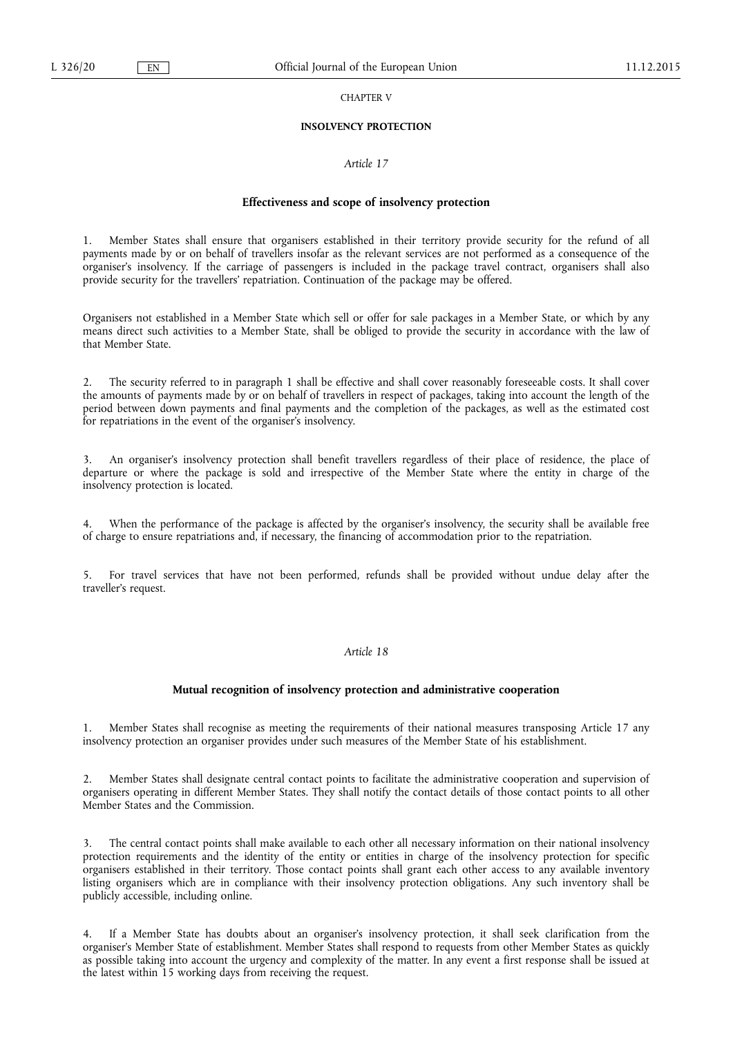CHAPTER V

## **INSOLVENCY PROTECTION**

## *Article 17*

## **Effectiveness and scope of insolvency protection**

1. Member States shall ensure that organisers established in their territory provide security for the refund of all payments made by or on behalf of travellers insofar as the relevant services are not performed as a consequence of the organiser's insolvency. If the carriage of passengers is included in the package travel contract, organisers shall also provide security for the travellers' repatriation. Continuation of the package may be offered.

Organisers not established in a Member State which sell or offer for sale packages in a Member State, or which by any means direct such activities to a Member State, shall be obliged to provide the security in accordance with the law of that Member State.

2. The security referred to in paragraph 1 shall be effective and shall cover reasonably foreseeable costs. It shall cover the amounts of payments made by or on behalf of travellers in respect of packages, taking into account the length of the period between down payments and final payments and the completion of the packages, as well as the estimated cost for repatriations in the event of the organiser's insolvency.

3. An organiser's insolvency protection shall benefit travellers regardless of their place of residence, the place of departure or where the package is sold and irrespective of the Member State where the entity in charge of the insolvency protection is located.

When the performance of the package is affected by the organiser's insolvency, the security shall be available free of charge to ensure repatriations and, if necessary, the financing of accommodation prior to the repatriation.

5. For travel services that have not been performed, refunds shall be provided without undue delay after the traveller's request.

## *Article 18*

## **Mutual recognition of insolvency protection and administrative cooperation**

1. Member States shall recognise as meeting the requirements of their national measures transposing Article 17 any insolvency protection an organiser provides under such measures of the Member State of his establishment.

2. Member States shall designate central contact points to facilitate the administrative cooperation and supervision of organisers operating in different Member States. They shall notify the contact details of those contact points to all other Member States and the Commission.

3. The central contact points shall make available to each other all necessary information on their national insolvency protection requirements and the identity of the entity or entities in charge of the insolvency protection for specific organisers established in their territory. Those contact points shall grant each other access to any available inventory listing organisers which are in compliance with their insolvency protection obligations. Any such inventory shall be publicly accessible, including online.

4. If a Member State has doubts about an organiser's insolvency protection, it shall seek clarification from the organiser's Member State of establishment. Member States shall respond to requests from other Member States as quickly as possible taking into account the urgency and complexity of the matter. In any event a first response shall be issued at the latest within 15 working days from receiving the request.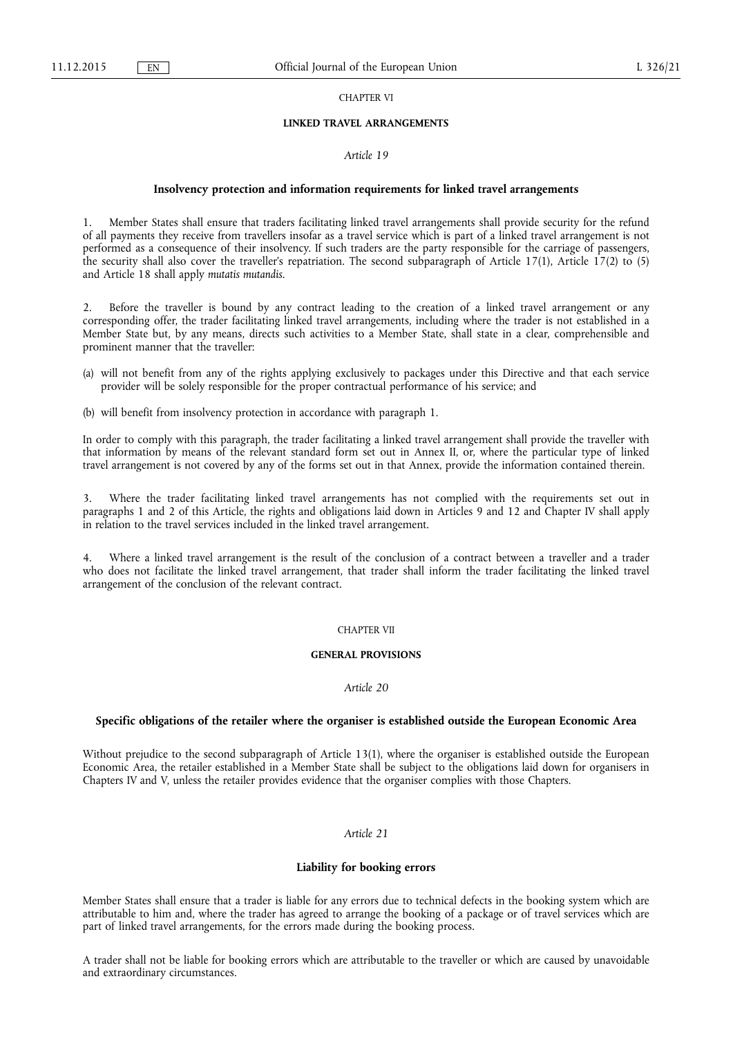## CHAPTER VI

#### **LINKED TRAVEL ARRANGEMENTS**

## *Article 19*

## **Insolvency protection and information requirements for linked travel arrangements**

1. Member States shall ensure that traders facilitating linked travel arrangements shall provide security for the refund of all payments they receive from travellers insofar as a travel service which is part of a linked travel arrangement is not performed as a consequence of their insolvency. If such traders are the party responsible for the carriage of passengers, the security shall also cover the traveller's repatriation. The second subparagraph of Article 17(1), Article 17(2) to  $(5)$ and Article 18 shall apply *mutatis mutandis*.

2. Before the traveller is bound by any contract leading to the creation of a linked travel arrangement or any corresponding offer, the trader facilitating linked travel arrangements, including where the trader is not established in a Member State but, by any means, directs such activities to a Member State, shall state in a clear, comprehensible and prominent manner that the traveller:

- (a) will not benefit from any of the rights applying exclusively to packages under this Directive and that each service provider will be solely responsible for the proper contractual performance of his service; and
- (b) will benefit from insolvency protection in accordance with paragraph 1.

In order to comply with this paragraph, the trader facilitating a linked travel arrangement shall provide the traveller with that information by means of the relevant standard form set out in Annex II, or, where the particular type of linked travel arrangement is not covered by any of the forms set out in that Annex, provide the information contained therein.

3. Where the trader facilitating linked travel arrangements has not complied with the requirements set out in paragraphs 1 and 2 of this Article, the rights and obligations laid down in Articles 9 and 12 and Chapter IV shall apply in relation to the travel services included in the linked travel arrangement.

4. Where a linked travel arrangement is the result of the conclusion of a contract between a traveller and a trader who does not facilitate the linked travel arrangement, that trader shall inform the trader facilitating the linked travel arrangement of the conclusion of the relevant contract.

#### CHAPTER VII

## **GENERAL PROVISIONS**

## *Article 20*

## **Specific obligations of the retailer where the organiser is established outside the European Economic Area**

Without prejudice to the second subparagraph of Article 13(1), where the organiser is established outside the European Economic Area, the retailer established in a Member State shall be subject to the obligations laid down for organisers in Chapters IV and V, unless the retailer provides evidence that the organiser complies with those Chapters.

## *Article 21*

## **Liability for booking errors**

Member States shall ensure that a trader is liable for any errors due to technical defects in the booking system which are attributable to him and, where the trader has agreed to arrange the booking of a package or of travel services which are part of linked travel arrangements, for the errors made during the booking process.

A trader shall not be liable for booking errors which are attributable to the traveller or which are caused by unavoidable and extraordinary circumstances.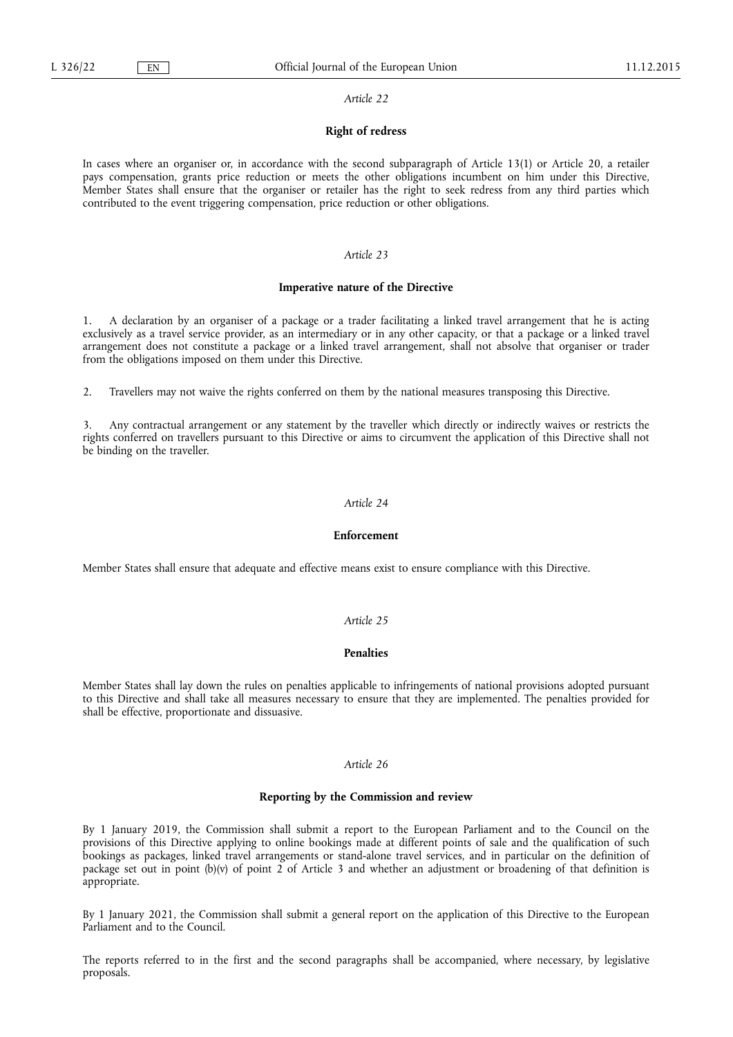## **Right of redress**

In cases where an organiser or, in accordance with the second subparagraph of Article 13(1) or Article 20, a retailer pays compensation, grants price reduction or meets the other obligations incumbent on him under this Directive, Member States shall ensure that the organiser or retailer has the right to seek redress from any third parties which contributed to the event triggering compensation, price reduction or other obligations.

#### *Article 23*

## **Imperative nature of the Directive**

1. A declaration by an organiser of a package or a trader facilitating a linked travel arrangement that he is acting exclusively as a travel service provider, as an intermediary or in any other capacity, or that a package or a linked travel arrangement does not constitute a package or a linked travel arrangement, shall not absolve that organiser or trader from the obligations imposed on them under this Directive.

2. Travellers may not waive the rights conferred on them by the national measures transposing this Directive.

3. Any contractual arrangement or any statement by the traveller which directly or indirectly waives or restricts the rights conferred on travellers pursuant to this Directive or aims to circumvent the application of this Directive shall not be binding on the traveller.

#### *Article 24*

#### **Enforcement**

Member States shall ensure that adequate and effective means exist to ensure compliance with this Directive.

#### *Article 25*

## **Penalties**

Member States shall lay down the rules on penalties applicable to infringements of national provisions adopted pursuant to this Directive and shall take all measures necessary to ensure that they are implemented. The penalties provided for shall be effective, proportionate and dissuasive.

#### *Article 26*

#### **Reporting by the Commission and review**

By 1 January 2019, the Commission shall submit a report to the European Parliament and to the Council on the provisions of this Directive applying to online bookings made at different points of sale and the qualification of such bookings as packages, linked travel arrangements or stand-alone travel services, and in particular on the definition of package set out in point (b)(v) of point 2 of Article 3 and whether an adjustment or broadening of that definition is appropriate.

By 1 January 2021, the Commission shall submit a general report on the application of this Directive to the European Parliament and to the Council.

The reports referred to in the first and the second paragraphs shall be accompanied, where necessary, by legislative proposals.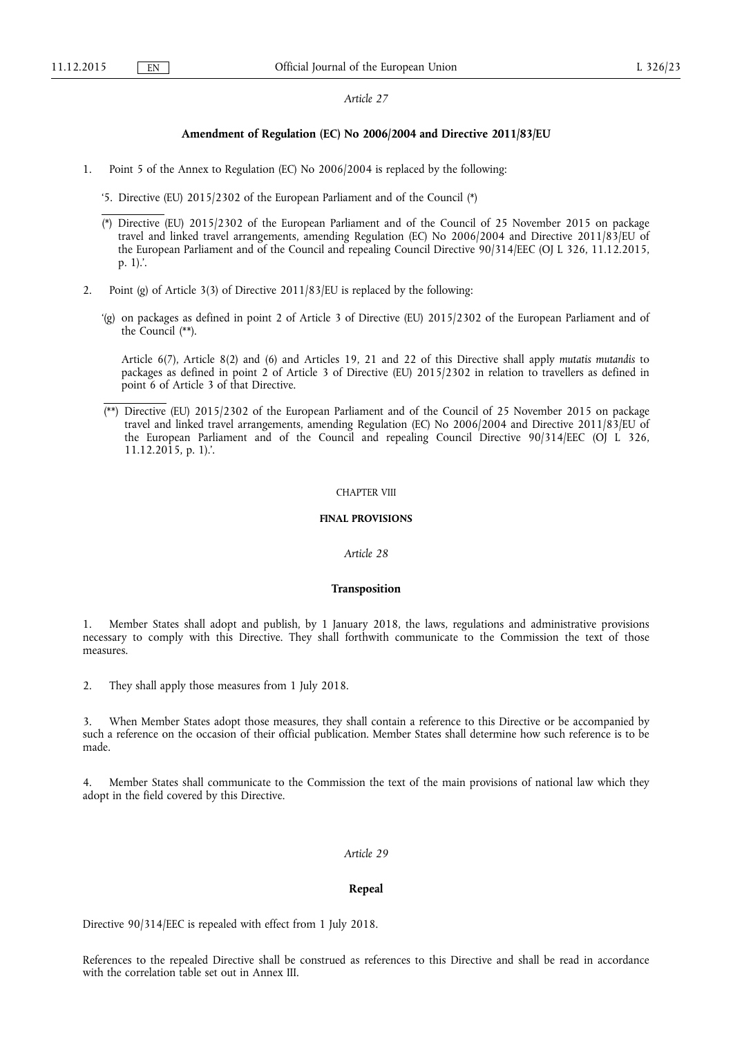## **Amendment of Regulation (EC) No 2006/2004 and Directive 2011/83/EU**

- 1. Point 5 of the Annex to Regulation (EC) No 2006/2004 is replaced by the following:
	- '5. Directive (EU) 2015/2302 of the European Parliament and of the Council (\*)
	- (\*) Directive (EU) 2015/2302 of the European Parliament and of the Council of 25 November 2015 on package travel and linked travel arrangements, amending Regulation (EC) No 2006/2004 and Directive 2011/83/EU of the European Parliament and of the Council and repealing Council Directive 90/314/EEC (OJ L 326, 11.12.2015, p. 1).'.
- 2. Point (g) of Article 3(3) of Directive 2011/83/EU is replaced by the following:
	- '(g) on packages as defined in point 2 of Article 3 of Directive (EU) 2015/2302 of the European Parliament and of the Council (\*\*).

Article 6(7), Article 8(2) and (6) and Articles 19, 21 and 22 of this Directive shall apply *mutatis mutandis* to packages as defined in point 2 of Article 3 of Directive (EU) 2015/2302 in relation to travellers as defined in point 6 of Article 3 of that Directive.

(\*\*) Directive (EU) 2015/2302 of the European Parliament and of the Council of 25 November 2015 on package travel and linked travel arrangements, amending Regulation (EC) No 2006/2004 and Directive 2011/83/EU of the European Parliament and of the Council and repealing Council Directive 90/314/EEC (OJ L 326, 11.12.2015, p. 1).'.

## CHAPTER VIII

## **FINAL PROVISIONS**

## *Article 28*

## **Transposition**

1. Member States shall adopt and publish, by 1 January 2018, the laws, regulations and administrative provisions necessary to comply with this Directive. They shall forthwith communicate to the Commission the text of those measures.

2. They shall apply those measures from 1 July 2018.

3. When Member States adopt those measures, they shall contain a reference to this Directive or be accompanied by such a reference on the occasion of their official publication. Member States shall determine how such reference is to be made.

4. Member States shall communicate to the Commission the text of the main provisions of national law which they adopt in the field covered by this Directive.

## *Article 29*

## **Repeal**

Directive 90/314/EEC is repealed with effect from 1 July 2018.

References to the repealed Directive shall be construed as references to this Directive and shall be read in accordance with the correlation table set out in Annex III.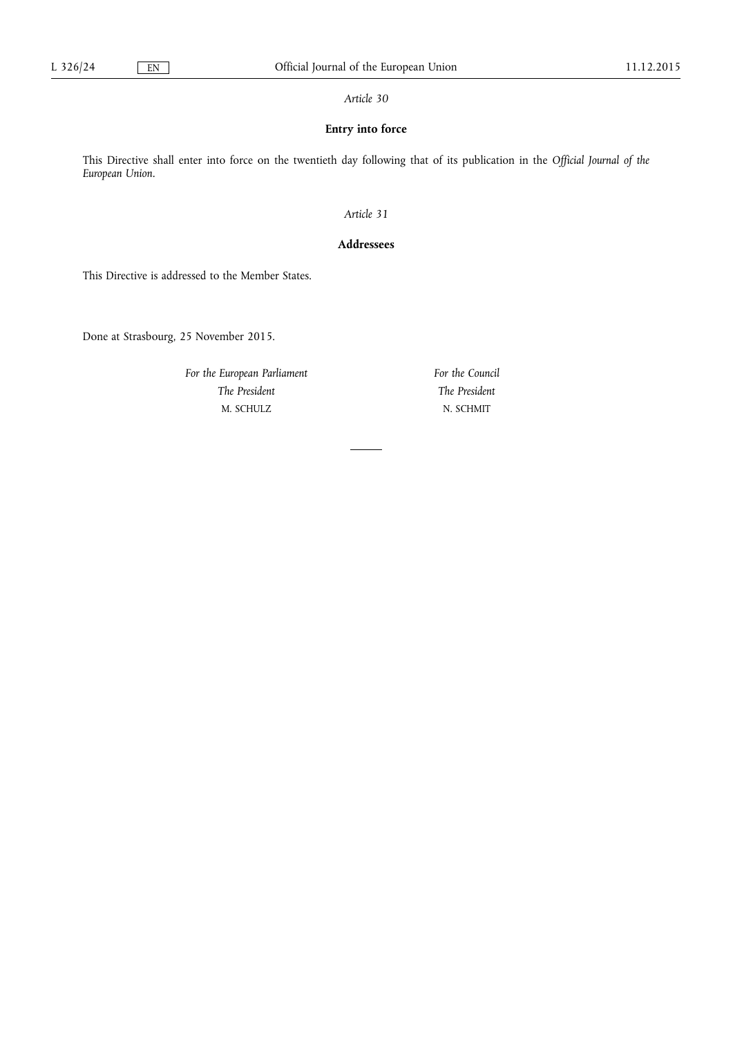## **Entry into force**

This Directive shall enter into force on the twentieth day following that of its publication in the *Official Journal of the European Union.* 

## *Article 31*

## **Addressees**

This Directive is addressed to the Member States.

Done at Strasbourg, 25 November 2015.

*For the European Parliament The President*  M. SCHULZ

*For the Council The President*  N. SCHMIT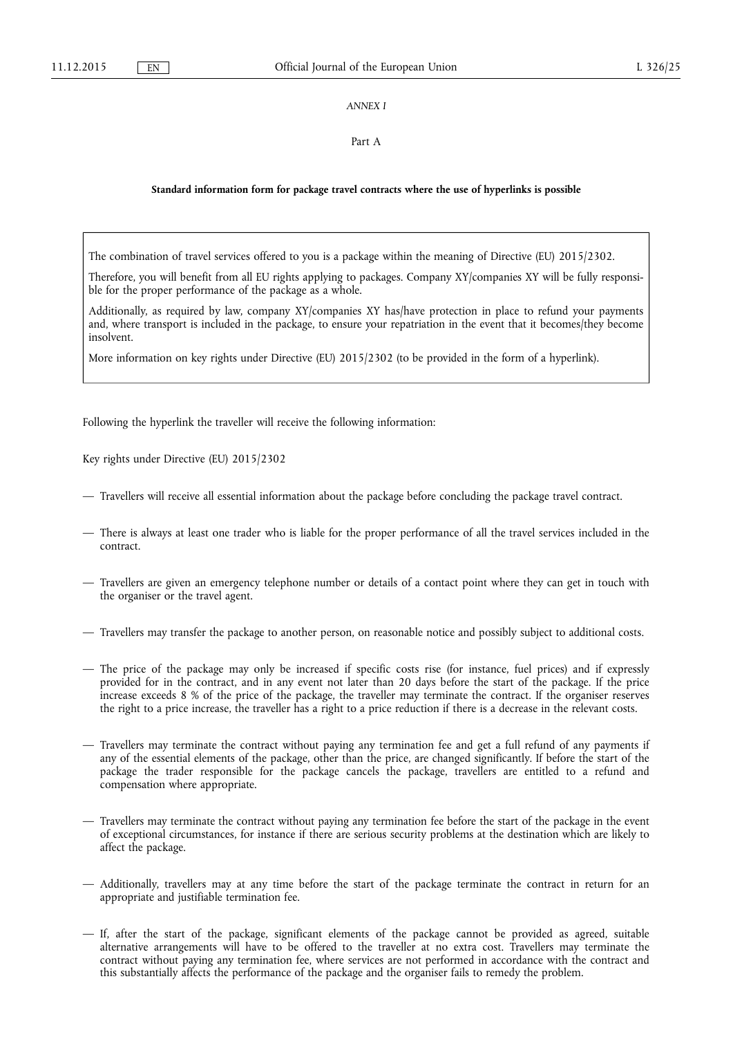## *ANNEX I*

## Part A

## **Standard information form for package travel contracts where the use of hyperlinks is possible**

The combination of travel services offered to you is a package within the meaning of Directive (EU) 2015/2302.

Therefore, you will benefit from all EU rights applying to packages. Company XY/companies XY will be fully responsible for the proper performance of the package as a whole.

Additionally, as required by law, company XY/companies XY has/have protection in place to refund your payments and, where transport is included in the package, to ensure your repatriation in the event that it becomes/they become insolvent.

More information on key rights under Directive (EU) 2015/2302 (to be provided in the form of a hyperlink).

Following the hyperlink the traveller will receive the following information:

Key rights under Directive (EU) 2015/2302

- Travellers will receive all essential information about the package before concluding the package travel contract.
- There is always at least one trader who is liable for the proper performance of all the travel services included in the contract.
- Travellers are given an emergency telephone number or details of a contact point where they can get in touch with the organiser or the travel agent.
- Travellers may transfer the package to another person, on reasonable notice and possibly subject to additional costs.
- The price of the package may only be increased if specific costs rise (for instance, fuel prices) and if expressly provided for in the contract, and in any event not later than 20 days before the start of the package. If the price increase exceeds 8 % of the price of the package, the traveller may terminate the contract. If the organiser reserves the right to a price increase, the traveller has a right to a price reduction if there is a decrease in the relevant costs.
- Travellers may terminate the contract without paying any termination fee and get a full refund of any payments if any of the essential elements of the package, other than the price, are changed significantly. If before the start of the package the trader responsible for the package cancels the package, travellers are entitled to a refund and compensation where appropriate.
- Travellers may terminate the contract without paying any termination fee before the start of the package in the event of exceptional circumstances, for instance if there are serious security problems at the destination which are likely to affect the package.
- Additionally, travellers may at any time before the start of the package terminate the contract in return for an appropriate and justifiable termination fee.
- If, after the start of the package, significant elements of the package cannot be provided as agreed, suitable alternative arrangements will have to be offered to the traveller at no extra cost. Travellers may terminate the contract without paying any termination fee, where services are not performed in accordance with the contract and this substantially affects the performance of the package and the organiser fails to remedy the problem.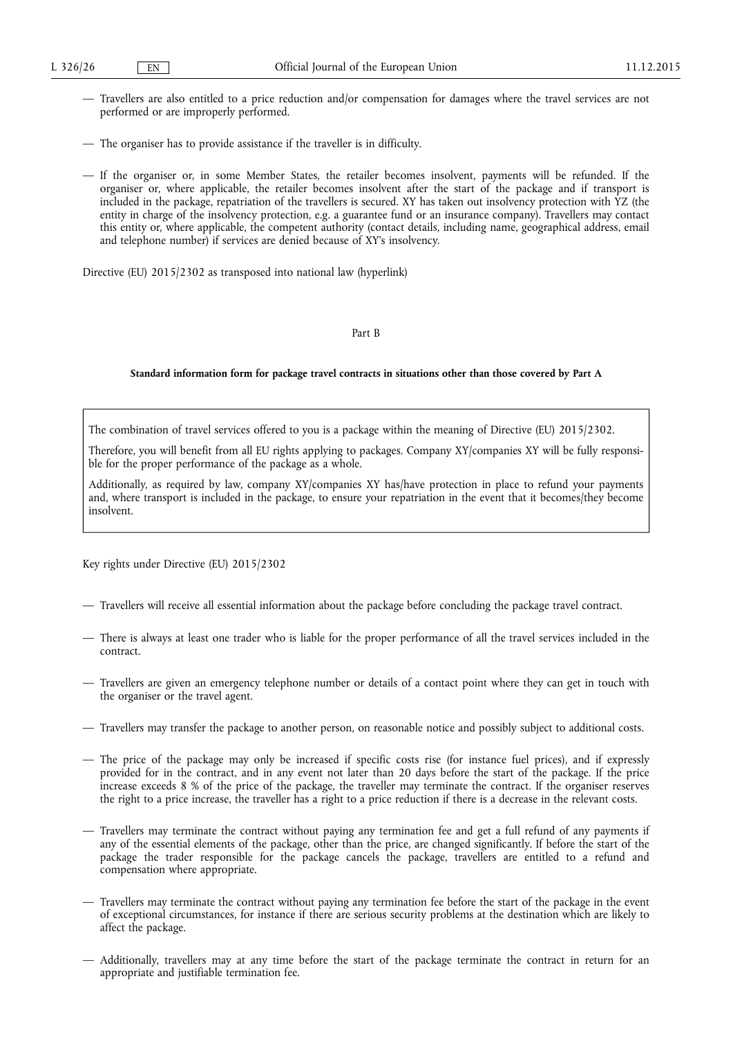- Travellers are also entitled to a price reduction and/or compensation for damages where the travel services are not performed or are improperly performed.
- The organiser has to provide assistance if the traveller is in difficulty.
- If the organiser or, in some Member States, the retailer becomes insolvent, payments will be refunded. If the organiser or, where applicable, the retailer becomes insolvent after the start of the package and if transport is included in the package, repatriation of the travellers is secured. XY has taken out insolvency protection with  $\hat{Y}Z$  (the entity in charge of the insolvency protection, e.g. a guarantee fund or an insurance company). Travellers may contact this entity or, where applicable, the competent authority (contact details, including name, geographical address, email and telephone number) if services are denied because of XY's insolvency.

Directive (EU) 2015/2302 as transposed into national law (hyperlink)

## Part B

## **Standard information form for package travel contracts in situations other than those covered by Part A**

The combination of travel services offered to you is a package within the meaning of Directive (EU) 2015/2302.

Therefore, you will benefit from all EU rights applying to packages. Company XY/companies XY will be fully responsible for the proper performance of the package as a whole.

Additionally, as required by law, company XY/companies XY has/have protection in place to refund your payments and, where transport is included in the package, to ensure your repatriation in the event that it becomes/they become insolvent.

Key rights under Directive (EU) 2015/2302

- Travellers will receive all essential information about the package before concluding the package travel contract.
- There is always at least one trader who is liable for the proper performance of all the travel services included in the contract.
- Travellers are given an emergency telephone number or details of a contact point where they can get in touch with the organiser or the travel agent.
- Travellers may transfer the package to another person, on reasonable notice and possibly subject to additional costs.
- The price of the package may only be increased if specific costs rise (for instance fuel prices), and if expressly provided for in the contract, and in any event not later than 20 days before the start of the package. If the price increase exceeds 8 % of the price of the package, the traveller may terminate the contract. If the organiser reserves the right to a price increase, the traveller has a right to a price reduction if there is a decrease in the relevant costs.
- Travellers may terminate the contract without paying any termination fee and get a full refund of any payments if any of the essential elements of the package, other than the price, are changed significantly. If before the start of the package the trader responsible for the package cancels the package, travellers are entitled to a refund and compensation where appropriate.
- Travellers may terminate the contract without paying any termination fee before the start of the package in the event of exceptional circumstances, for instance if there are serious security problems at the destination which are likely to affect the package.
- Additionally, travellers may at any time before the start of the package terminate the contract in return for an appropriate and justifiable termination fee.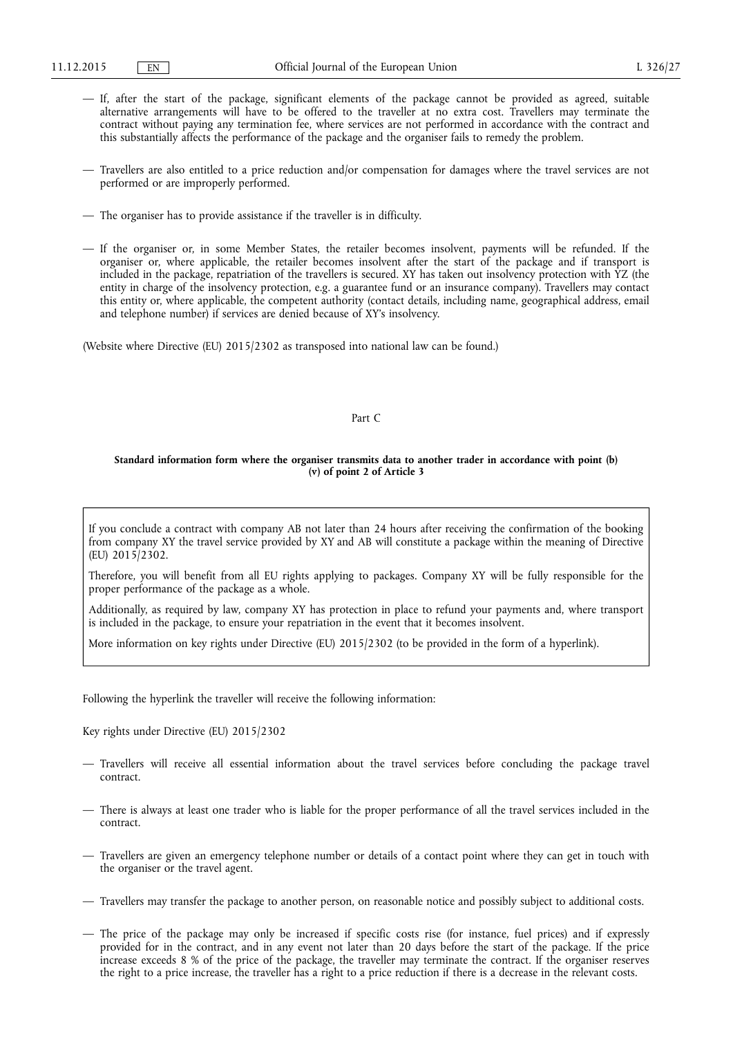- If, after the start of the package, significant elements of the package cannot be provided as agreed, suitable alternative arrangements will have to be offered to the traveller at no extra cost. Travellers may terminate the contract without paying any termination fee, where services are not performed in accordance with the contract and this substantially affects the performance of the package and the organiser fails to remedy the problem.
- Travellers are also entitled to a price reduction and/or compensation for damages where the travel services are not performed or are improperly performed.
- The organiser has to provide assistance if the traveller is in difficulty.
- If the organiser or, in some Member States, the retailer becomes insolvent, payments will be refunded. If the organiser or, where applicable, the retailer becomes insolvent after the start of the package and if transport is included in the package, repatriation of the travellers is secured. XY has taken out insolvency protection with YZ (the entity in charge of the insolvency protection, e.g. a guarantee fund or an insurance company). Travellers may contact this entity or, where applicable, the competent authority (contact details, including name, geographical address, email and telephone number) if services are denied because of XY's insolvency.

(Website where Directive (EU) 2015/2302 as transposed into national law can be found.)

## Part C

## **Standard information form where the organiser transmits data to another trader in accordance with point (b) (v) of point 2 of Article 3**

If you conclude a contract with company AB not later than 24 hours after receiving the confirmation of the booking from company XY the travel service provided by XY and AB will constitute a package within the meaning of Directive (EU) 2015/2302.

Therefore, you will benefit from all EU rights applying to packages. Company XY will be fully responsible for the proper performance of the package as a whole.

Additionally, as required by law, company XY has protection in place to refund your payments and, where transport is included in the package, to ensure your repatriation in the event that it becomes insolvent.

More information on key rights under Directive (EU) 2015/2302 (to be provided in the form of a hyperlink).

Following the hyperlink the traveller will receive the following information:

Key rights under Directive (EU) 2015/2302

- Travellers will receive all essential information about the travel services before concluding the package travel contract.
- There is always at least one trader who is liable for the proper performance of all the travel services included in the contract.
- Travellers are given an emergency telephone number or details of a contact point where they can get in touch with the organiser or the travel agent.
- Travellers may transfer the package to another person, on reasonable notice and possibly subject to additional costs.
- The price of the package may only be increased if specific costs rise (for instance, fuel prices) and if expressly provided for in the contract, and in any event not later than 20 days before the start of the package. If the price increase exceeds 8 % of the price of the package, the traveller may terminate the contract. If the organiser reserves the right to a price increase, the traveller has a right to a price reduction if there is a decrease in the relevant costs.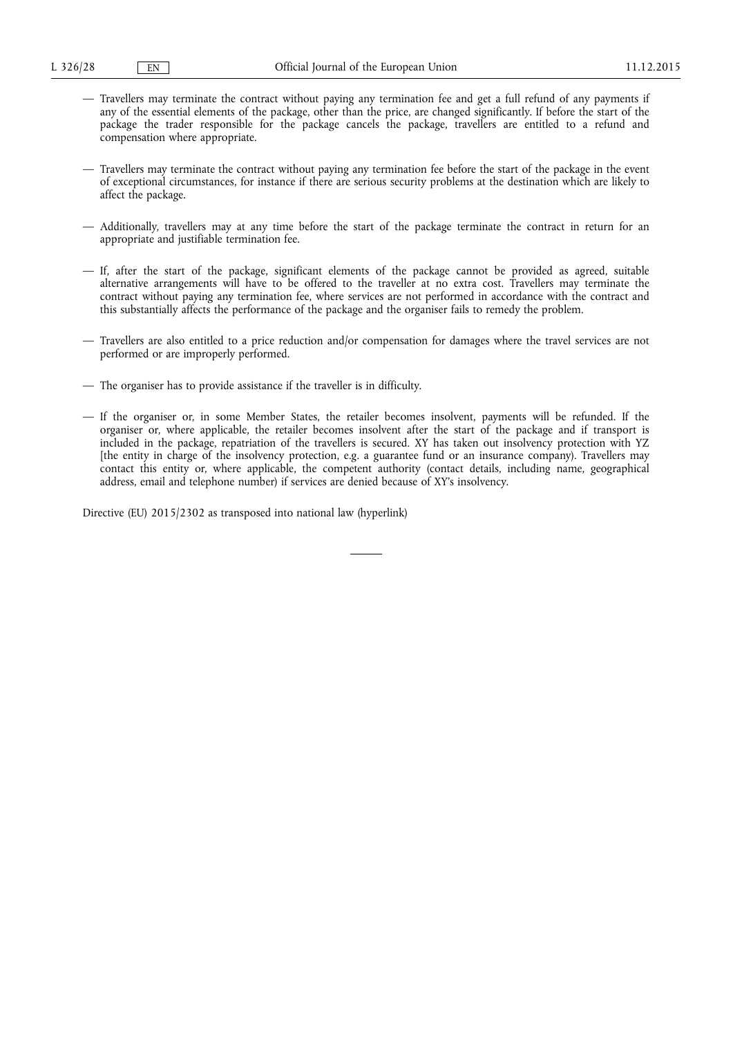- Travellers may terminate the contract without paying any termination fee and get a full refund of any payments if any of the essential elements of the package, other than the price, are changed significantly. If before the start of the package the trader responsible for the package cancels the package, travellers are entitled to a refund and compensation where appropriate.
- Travellers may terminate the contract without paying any termination fee before the start of the package in the event of exceptional circumstances, for instance if there are serious security problems at the destination which are likely to affect the package.
- Additionally, travellers may at any time before the start of the package terminate the contract in return for an appropriate and justifiable termination fee.
- If, after the start of the package, significant elements of the package cannot be provided as agreed, suitable alternative arrangements will have to be offered to the traveller at no extra cost. Travellers may terminate the contract without paying any termination fee, where services are not performed in accordance with the contract and this substantially affects the performance of the package and the organiser fails to remedy the problem.
- Travellers are also entitled to a price reduction and/or compensation for damages where the travel services are not performed or are improperly performed.
- The organiser has to provide assistance if the traveller is in difficulty.
- If the organiser or, in some Member States, the retailer becomes insolvent, payments will be refunded. If the organiser or, where applicable, the retailer becomes insolvent after the start of the package and if transport is included in the package, repatriation of the travellers is secured. XY has taken out insolvency protection with YZ [the entity in charge of the insolvency protection, e.g. a guarantee fund or an insurance company). Travellers may contact this entity or, where applicable, the competent authority (contact details, including name, geographical address, email and telephone number) if services are denied because of XY's insolvency.

Directive (EU) 2015/2302 as transposed into national law (hyperlink)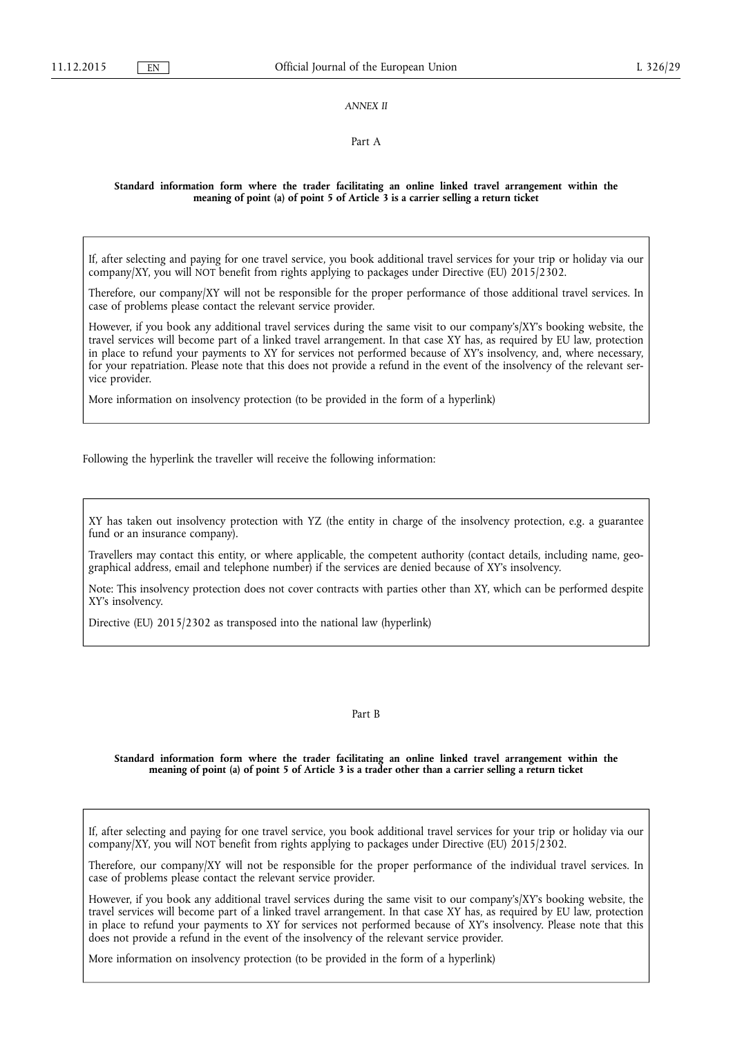## *ANNEX II*

## Part A

#### **Standard information form where the trader facilitating an online linked travel arrangement within the meaning of point (a) of point 5 of Article 3 is a carrier selling a return ticket**

If, after selecting and paying for one travel service, you book additional travel services for your trip or holiday via our company/XY, you will NOT benefit from rights applying to packages under Directive (EU) 2015/2302.

Therefore, our company/XY will not be responsible for the proper performance of those additional travel services. In case of problems please contact the relevant service provider.

However, if you book any additional travel services during the same visit to our company's/XY's booking website, the travel services will become part of a linked travel arrangement. In that case XY has, as required by EU law, protection in place to refund your payments to XY for services not performed because of XY's insolvency, and, where necessary, for your repatriation. Please note that this does not provide a refund in the event of the insolvency of the relevant service provider.

More information on insolvency protection (to be provided in the form of a hyperlink)

Following the hyperlink the traveller will receive the following information:

XY has taken out insolvency protection with YZ (the entity in charge of the insolvency protection, e.g. a guarantee fund or an insurance company).

Travellers may contact this entity, or where applicable, the competent authority (contact details, including name, geographical address, email and telephone number) if the services are denied because of XY's insolvency.

Note: This insolvency protection does not cover contracts with parties other than XY, which can be performed despite XY's insolvency.

Directive (EU) 2015/2302 as transposed into the national law (hyperlink)

#### Part B

#### **Standard information form where the trader facilitating an online linked travel arrangement within the meaning of point (a) of point 5 of Article 3 is a trader other than a carrier selling a return ticket**

If, after selecting and paying for one travel service, you book additional travel services for your trip or holiday via our company/XY, you will NOT benefit from rights applying to packages under Directive (EU) 2015/2302.

Therefore, our company/XY will not be responsible for the proper performance of the individual travel services. In case of problems please contact the relevant service provider.

However, if you book any additional travel services during the same visit to our company's/XY's booking website, the travel services will become part of a linked travel arrangement. In that case XY has, as required by EU law, protection in place to refund your payments to XY for services not performed because of XY's insolvency. Please note that this does not provide a refund in the event of the insolvency of the relevant service provider.

More information on insolvency protection (to be provided in the form of a hyperlink)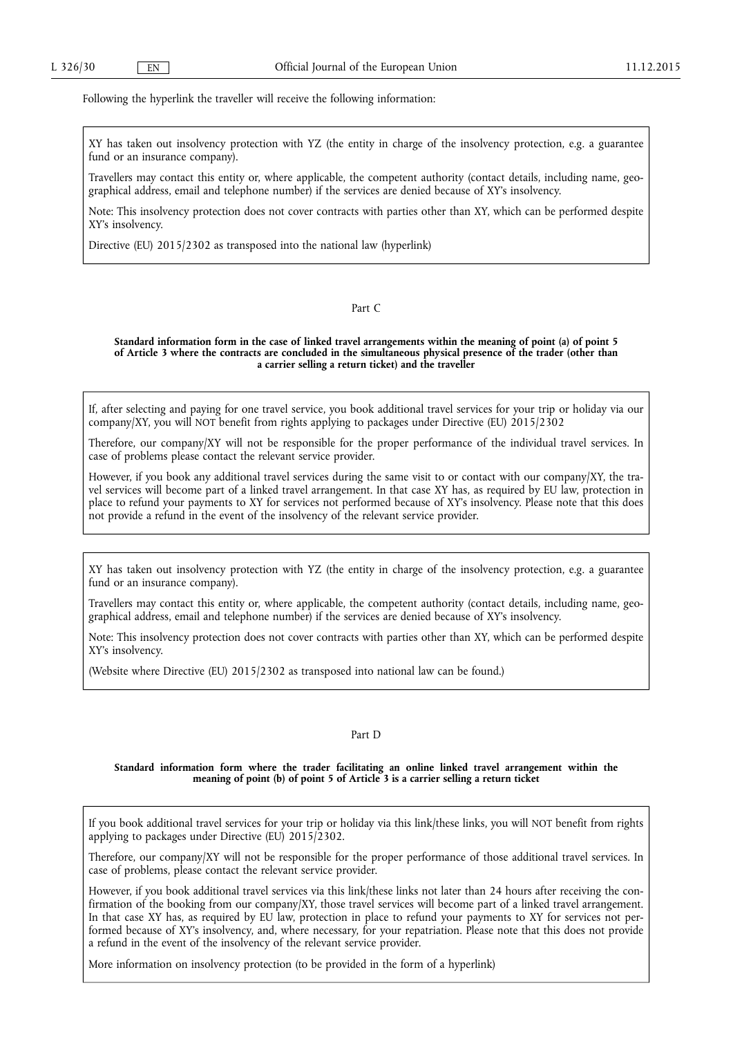Following the hyperlink the traveller will receive the following information:

XY has taken out insolvency protection with YZ (the entity in charge of the insolvency protection, e.g. a guarantee fund or an insurance company).

Travellers may contact this entity or, where applicable, the competent authority (contact details, including name, geographical address, email and telephone number) if the services are denied because of XY's insolvency.

Note: This insolvency protection does not cover contracts with parties other than XY, which can be performed despite XY's insolvency.

Directive (EU) 2015/2302 as transposed into the national law (hyperlink)

## Part C

#### **Standard information form in the case of linked travel arrangements within the meaning of point (a) of point 5 of Article 3 where the contracts are concluded in the simultaneous physical presence of the trader (other than a carrier selling a return ticket) and the traveller**

If, after selecting and paying for one travel service, you book additional travel services for your trip or holiday via our company/XY, you will NOT benefit from rights applying to packages under Directive (EU) 2015/2302

Therefore, our company/XY will not be responsible for the proper performance of the individual travel services. In case of problems please contact the relevant service provider.

However, if you book any additional travel services during the same visit to or contact with our company/XY, the travel services will become part of a linked travel arrangement. In that case XY has, as required by EU law, protection in place to refund your payments to XY for services not performed because of XY's insolvency. Please note that this does not provide a refund in the event of the insolvency of the relevant service provider.

XY has taken out insolvency protection with YZ (the entity in charge of the insolvency protection, e.g. a guarantee fund or an insurance company).

Travellers may contact this entity or, where applicable, the competent authority (contact details, including name, geographical address, email and telephone number) if the services are denied because of XY's insolvency.

Note: This insolvency protection does not cover contracts with parties other than XY, which can be performed despite XY's insolvency.

(Website where Directive (EU) 2015/2302 as transposed into national law can be found.)

## Part D

#### **Standard information form where the trader facilitating an online linked travel arrangement within the meaning of point (b) of point 5 of Article 3 is a carrier selling a return ticket**

If you book additional travel services for your trip or holiday via this link/these links, you will NOT benefit from rights applying to packages under Directive (EU) 2015/2302.

Therefore, our company/XY will not be responsible for the proper performance of those additional travel services. In case of problems, please contact the relevant service provider.

However, if you book additional travel services via this link/these links not later than 24 hours after receiving the confirmation of the booking from our company/XY, those travel services will become part of a linked travel arrangement. In that case XY has, as required by EU law, protection in place to refund your payments to XY for services not performed because of XY's insolvency, and, where necessary, for your repatriation. Please note that this does not provide a refund in the event of the insolvency of the relevant service provider.

More information on insolvency protection (to be provided in the form of a hyperlink)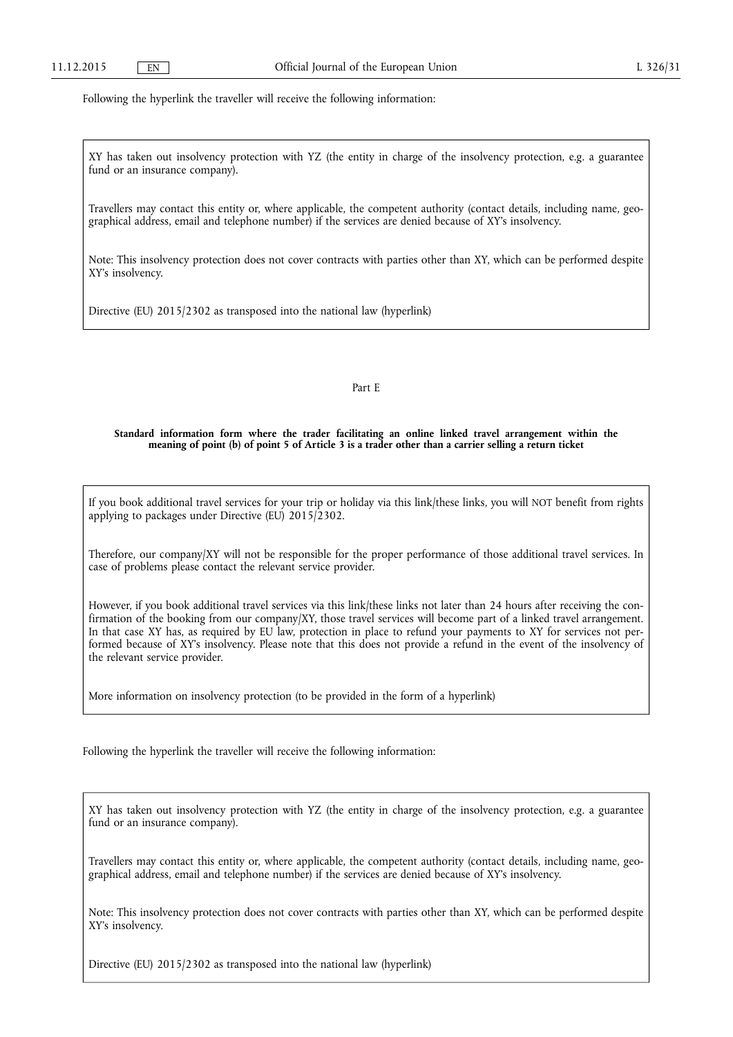Following the hyperlink the traveller will receive the following information:

XY has taken out insolvency protection with YZ (the entity in charge of the insolvency protection, e.g. a guarantee fund or an insurance company).

Travellers may contact this entity or, where applicable, the competent authority (contact details, including name, geographical address, email and telephone number) if the services are denied because of XY's insolvency.

Note: This insolvency protection does not cover contracts with parties other than XY, which can be performed despite XY's insolvency.

Directive (EU) 2015/2302 as transposed into the national law (hyperlink)

## Part E

#### **Standard information form where the trader facilitating an online linked travel arrangement within the meaning of point (b) of point 5 of Article 3 is a trader other than a carrier selling a return ticket**

If you book additional travel services for your trip or holiday via this link/these links, you will NOT benefit from rights applying to packages under Directive (EU) 2015/2302.

Therefore, our company/XY will not be responsible for the proper performance of those additional travel services. In case of problems please contact the relevant service provider.

However, if you book additional travel services via this link/these links not later than 24 hours after receiving the confirmation of the booking from our company/XY, those travel services will become part of a linked travel arrangement. In that case XY has, as required by EU law, protection in place to refund your payments to XY for services not performed because of XY's insolvency. Please note that this does not provide a refund in the event of the insolvency of the relevant service provider.

More information on insolvency protection (to be provided in the form of a hyperlink)

Following the hyperlink the traveller will receive the following information:

XY has taken out insolvency protection with YZ (the entity in charge of the insolvency protection, e.g. a guarantee fund or an insurance company).

Travellers may contact this entity or, where applicable, the competent authority (contact details, including name, geographical address, email and telephone number) if the services are denied because of XY's insolvency.

Note: This insolvency protection does not cover contracts with parties other than XY, which can be performed despite XY's insolvency.

Directive (EU) 2015/2302 as transposed into the national law (hyperlink)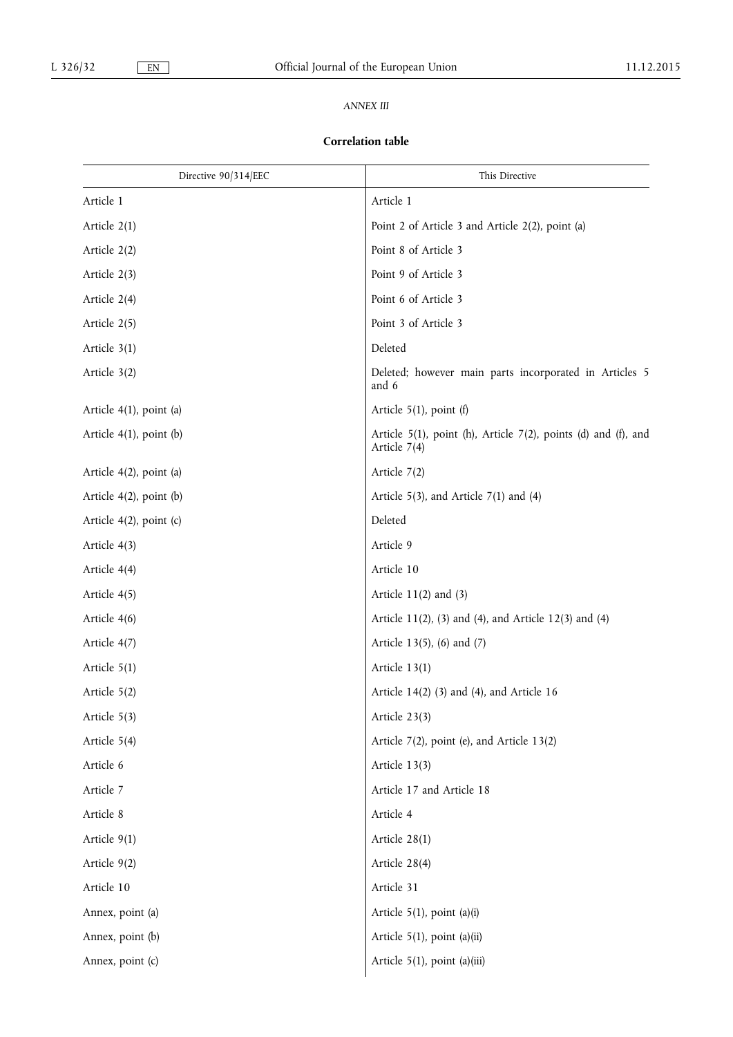## *ANNEX III*

## **Correlation table**

| Directive 90/314/EEC         | This Directive                                                                         |
|------------------------------|----------------------------------------------------------------------------------------|
| Article 1                    | Article 1                                                                              |
| Article $2(1)$               | Point 2 of Article 3 and Article 2(2), point (a)                                       |
| Article 2(2)                 | Point 8 of Article 3                                                                   |
| Article $2(3)$               | Point 9 of Article 3                                                                   |
| Article 2(4)                 | Point 6 of Article 3                                                                   |
| Article 2(5)                 | Point 3 of Article 3                                                                   |
| Article $3(1)$               | Deleted                                                                                |
| Article 3(2)                 | Deleted; however main parts incorporated in Articles 5<br>and 6                        |
| Article $4(1)$ , point (a)   | Article $5(1)$ , point (f)                                                             |
| Article $4(1)$ , point $(b)$ | Article $5(1)$ , point (h), Article $7(2)$ , points (d) and (f), and<br>Article $7(4)$ |
| Article 4(2), point (a)      | Article 7(2)                                                                           |
| Article $4(2)$ , point $(b)$ | Article $5(3)$ , and Article $7(1)$ and $(4)$                                          |
| Article $4(2)$ , point (c)   | Deleted                                                                                |
| Article 4(3)                 | Article 9                                                                              |
| Article 4(4)                 | Article 10                                                                             |
| Article 4(5)                 | Article $11(2)$ and $(3)$                                                              |
| Article 4(6)                 | Article 11(2), (3) and (4), and Article 12(3) and (4)                                  |
| Article 4(7)                 | Article 13(5), (6) and (7)                                                             |
| Article $5(1)$               | Article $13(1)$                                                                        |
| Article 5(2)                 | Article $14(2)$ (3) and (4), and Article 16                                            |
| Article $5(3)$               | Article $23(3)$                                                                        |
| Article 5(4)                 | Article 7(2), point (e), and Article 13(2)                                             |
| Article 6                    | Article $13(3)$                                                                        |
| Article 7                    | Article 17 and Article 18                                                              |
| Article 8                    | Article 4                                                                              |
| Article 9(1)                 | Article $28(1)$                                                                        |
| Article 9(2)                 | Article 28(4)                                                                          |
| Article 10                   | Article 31                                                                             |
| Annex, point (a)             | Article $5(1)$ , point $(a)(i)$                                                        |
| Annex, point (b)             | Article $5(1)$ , point (a)(ii)                                                         |
| Annex, point (c)             | Article 5(1), point (a)(iii)                                                           |